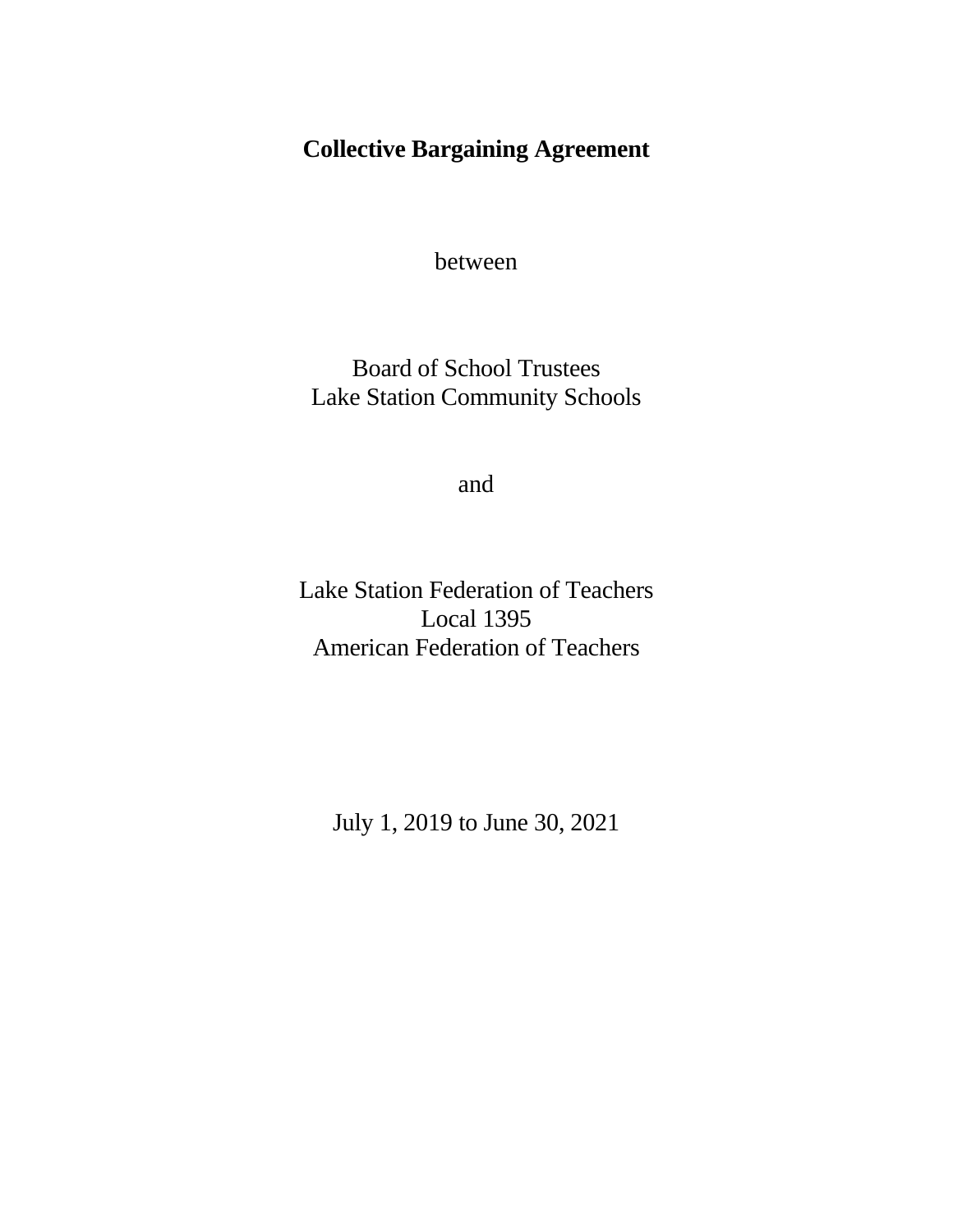# **Collective Bargaining Agreement**

between

Board of School Trustees Lake Station Community Schools

and

Lake Station Federation of Teachers Local 1395 American Federation of Teachers

July 1, 2019 to June 30, 2021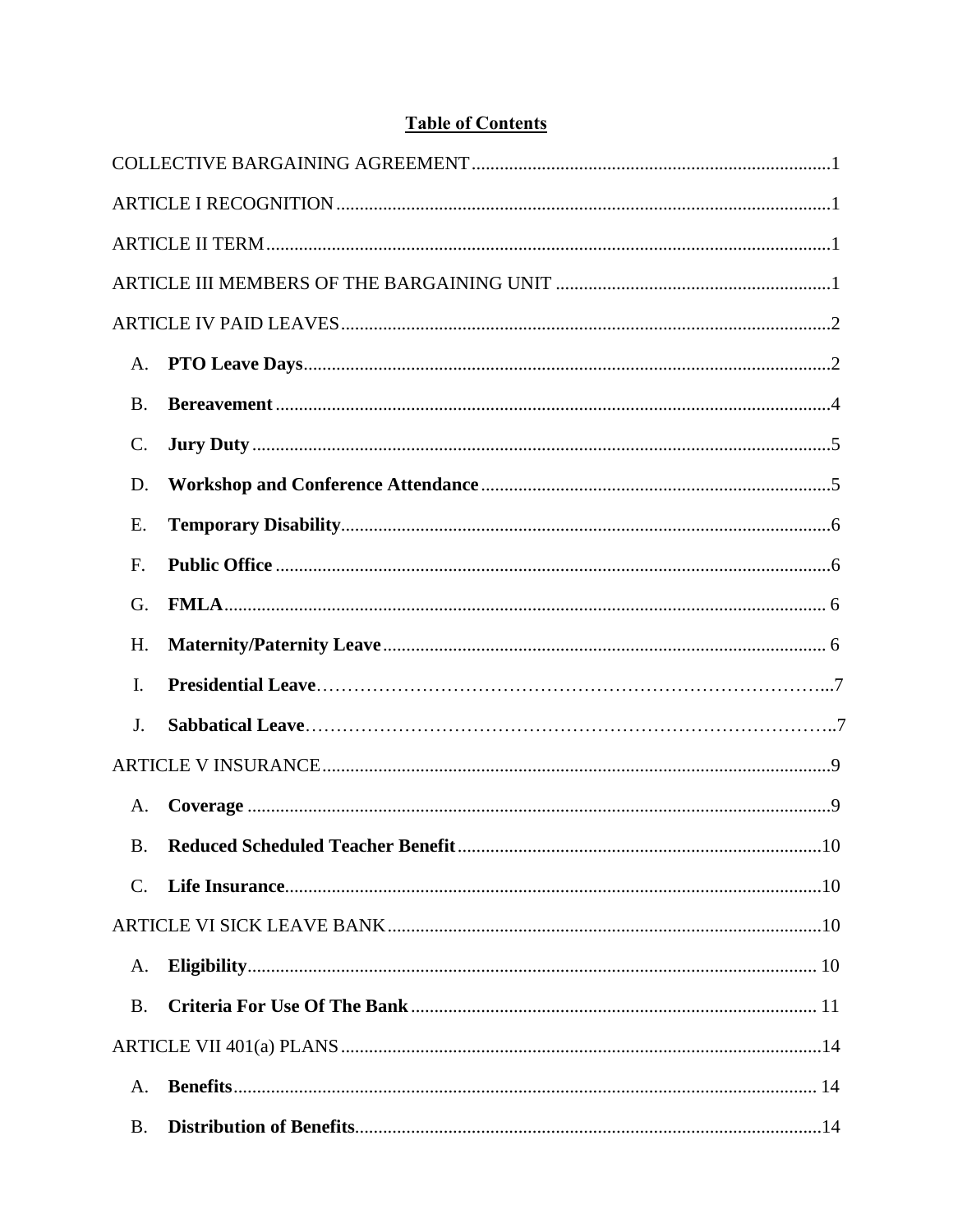# **Table of Contents**

| A.             |                                                   |
|----------------|---------------------------------------------------|
| <b>B.</b>      |                                                   |
| C.             |                                                   |
| D.             |                                                   |
| E.             |                                                   |
| F.             |                                                   |
| G.             |                                                   |
| H.             |                                                   |
| $\mathbf{I}$ . |                                                   |
| J.             |                                                   |
|                |                                                   |
| A.             |                                                   |
| $\bf{B}$       | <b>Reduced Scheduled Teacher Benefit.</b><br>.10. |
| $C_{\cdot}$    |                                                   |
|                |                                                   |
| A.             |                                                   |
| <b>B.</b>      |                                                   |
|                |                                                   |
| A.             |                                                   |
| <b>B.</b>      |                                                   |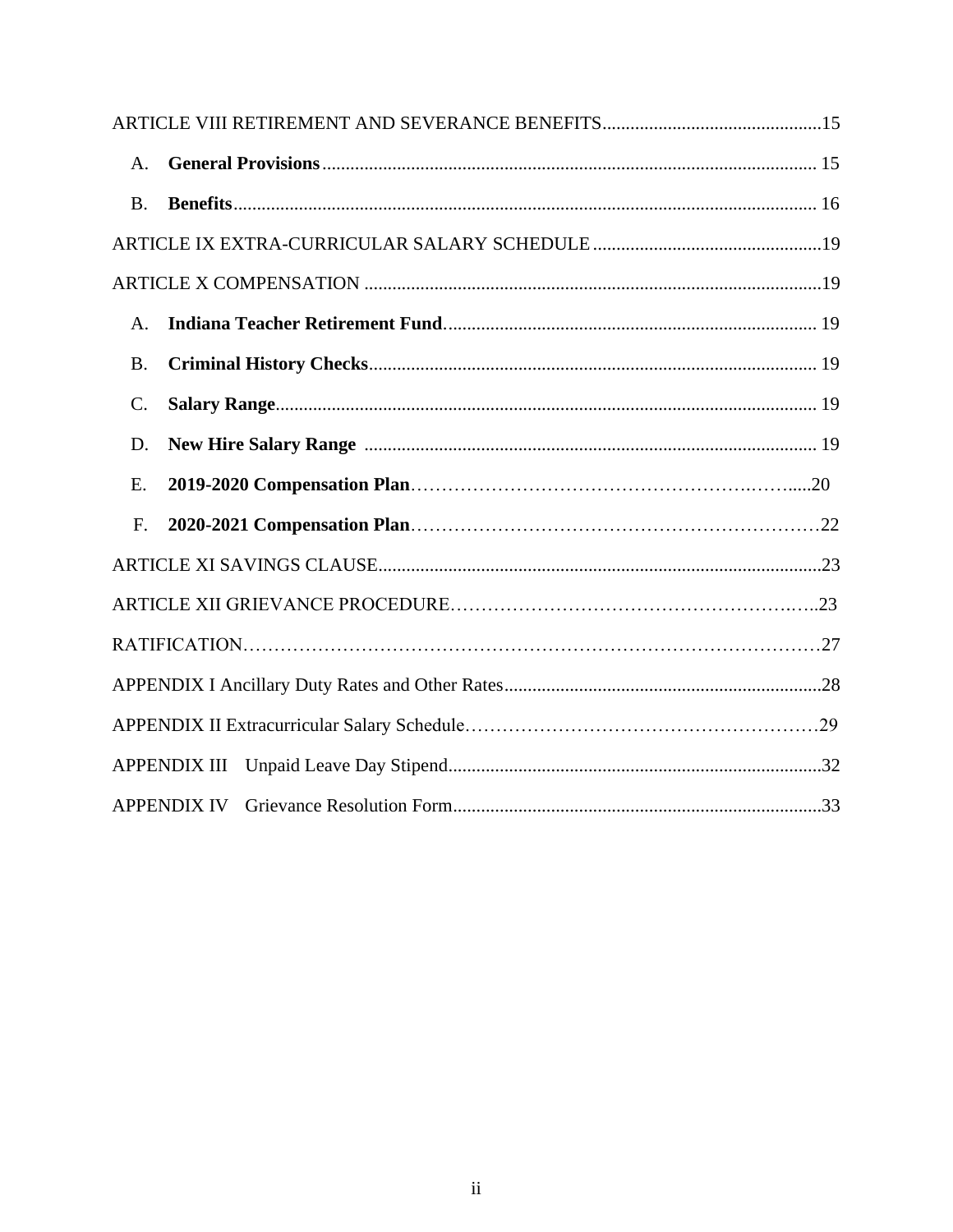| A.        |                     |  |
|-----------|---------------------|--|
| <b>B.</b> |                     |  |
|           |                     |  |
|           |                     |  |
| A.        |                     |  |
| <b>B.</b> |                     |  |
| C.        |                     |  |
| D.        |                     |  |
| E.        |                     |  |
| F.        |                     |  |
|           |                     |  |
|           |                     |  |
|           |                     |  |
|           |                     |  |
|           |                     |  |
|           | <b>APPENDIX III</b> |  |
|           | <b>APPENDIX IV</b>  |  |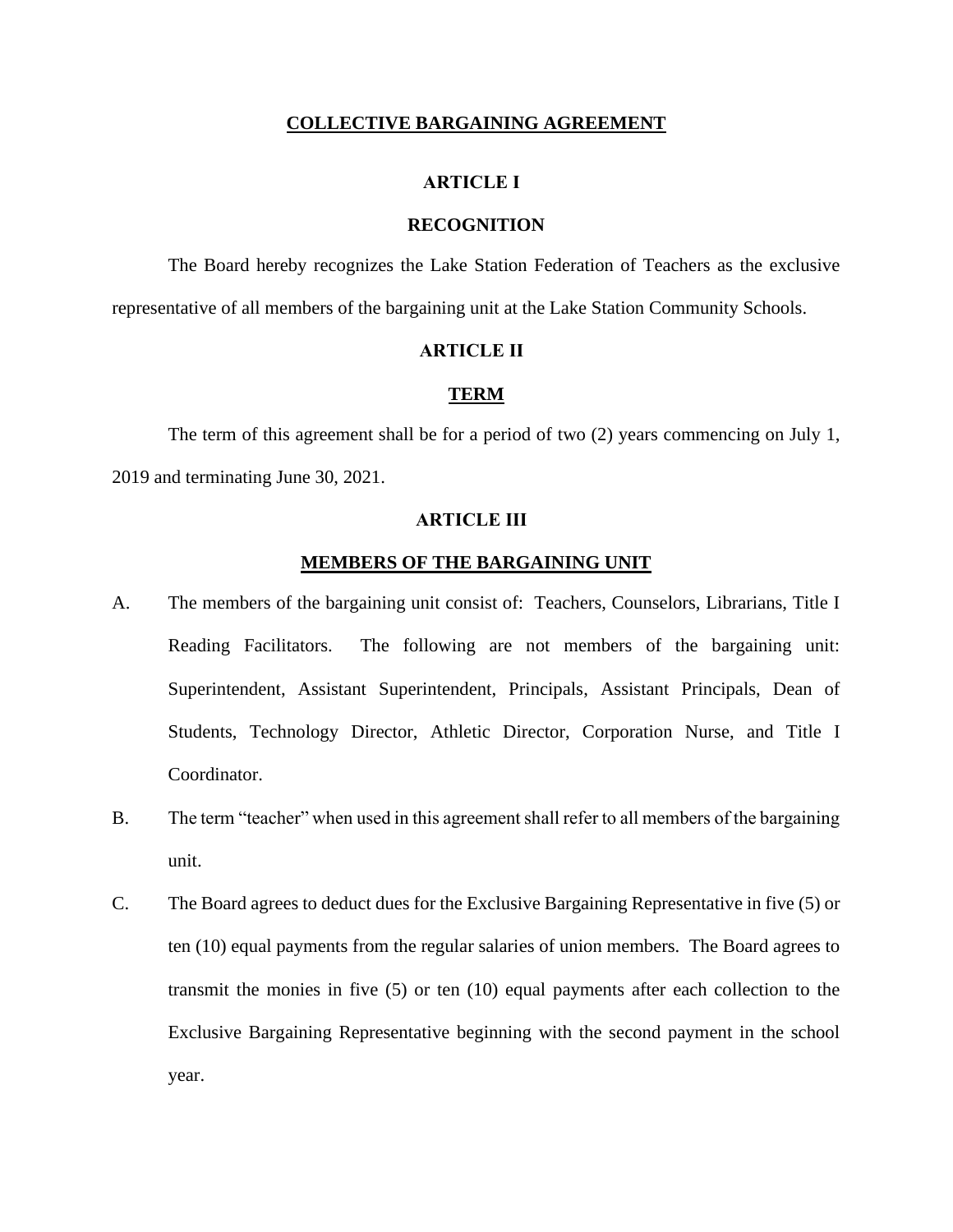#### **COLLECTIVE BARGAINING AGREEMENT**

#### **ARTICLE I**

#### **RECOGNITION**

<span id="page-3-1"></span><span id="page-3-0"></span>The Board hereby recognizes the Lake Station Federation of Teachers as the exclusive representative of all members of the bargaining unit at the Lake Station Community Schools.

## **ARTICLE II**

## **TERM**

<span id="page-3-2"></span>The term of this agreement shall be for a period of two (2) years commencing on July 1, 2019 and terminating June 30, 2021.

#### **ARTICLE III**

#### **MEMBERS OF THE BARGAINING UNIT**

- <span id="page-3-3"></span>A. The members of the bargaining unit consist of: Teachers, Counselors, Librarians, Title I Reading Facilitators. The following are not members of the bargaining unit: Superintendent, Assistant Superintendent, Principals, Assistant Principals, Dean of Students, Technology Director, Athletic Director, Corporation Nurse, and Title I Coordinator.
- B. The term "teacher" when used in this agreement shall refer to all members of the bargaining unit.
- C. The Board agrees to deduct dues for the Exclusive Bargaining Representative in five (5) or ten (10) equal payments from the regular salaries of union members. The Board agrees to transmit the monies in five (5) or ten (10) equal payments after each collection to the Exclusive Bargaining Representative beginning with the second payment in the school year.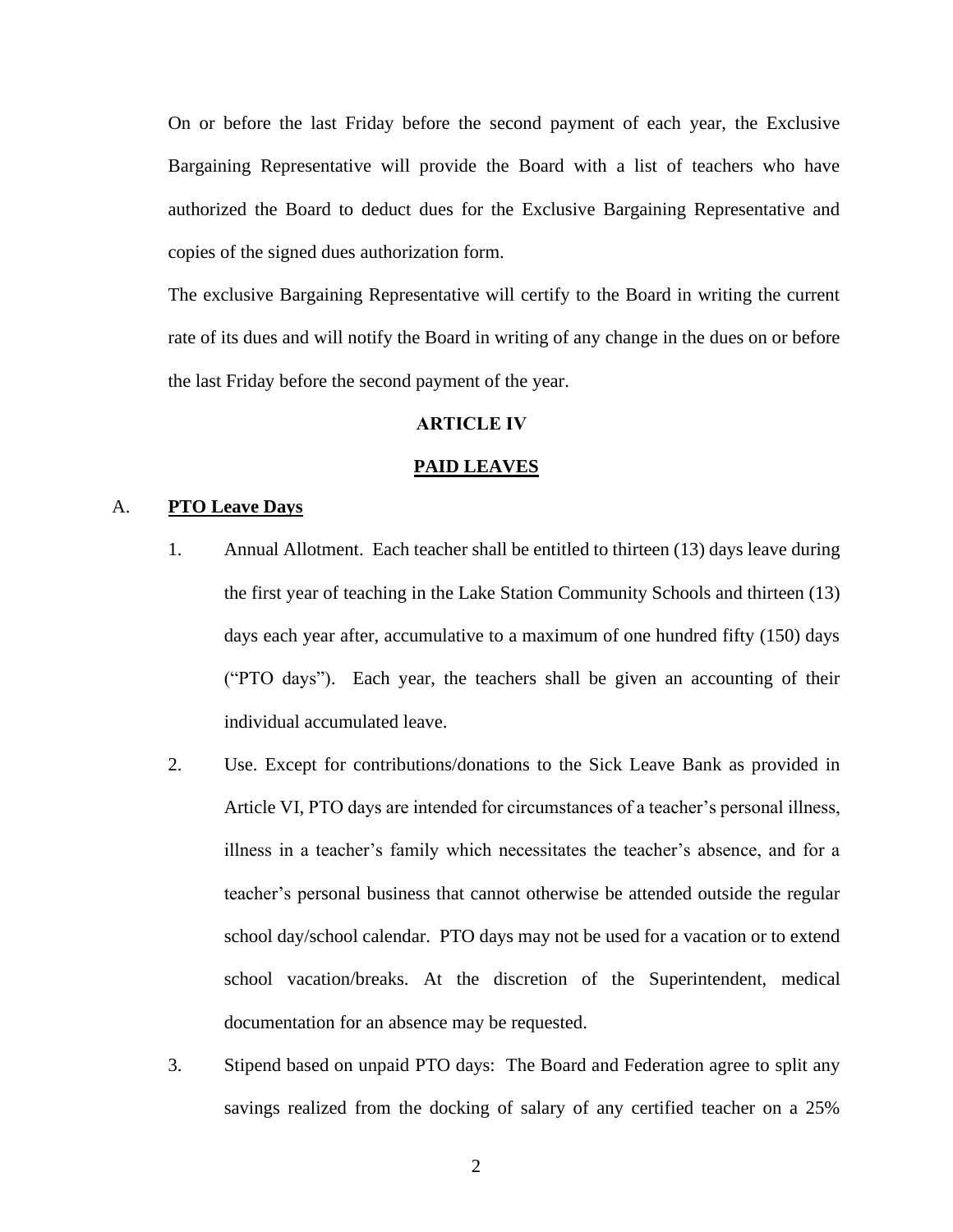On or before the last Friday before the second payment of each year, the Exclusive Bargaining Representative will provide the Board with a list of teachers who have authorized the Board to deduct dues for the Exclusive Bargaining Representative and copies of the signed dues authorization form.

The exclusive Bargaining Representative will certify to the Board in writing the current rate of its dues and will notify the Board in writing of any change in the dues on or before the last Friday before the second payment of the year.

#### **ARTICLE IV**

#### **PAID LEAVES**

## <span id="page-4-1"></span><span id="page-4-0"></span>A. **PTO Leave Days**

- 1. Annual Allotment. Each teacher shall be entitled to thirteen (13) days leave during the first year of teaching in the Lake Station Community Schools and thirteen (13) days each year after, accumulative to a maximum of one hundred fifty (150) days ("PTO days"). Each year, the teachers shall be given an accounting of their individual accumulated leave.
- 2. Use. Except for contributions/donations to the Sick Leave Bank as provided in Article VI, PTO days are intended for circumstances of a teacher's personal illness, illness in a teacher's family which necessitates the teacher's absence, and for a teacher's personal business that cannot otherwise be attended outside the regular school day/school calendar. PTO days may not be used for a vacation or to extend school vacation/breaks. At the discretion of the Superintendent, medical documentation for an absence may be requested.
- 3. Stipend based on unpaid PTO days: The Board and Federation agree to split any savings realized from the docking of salary of any certified teacher on a 25%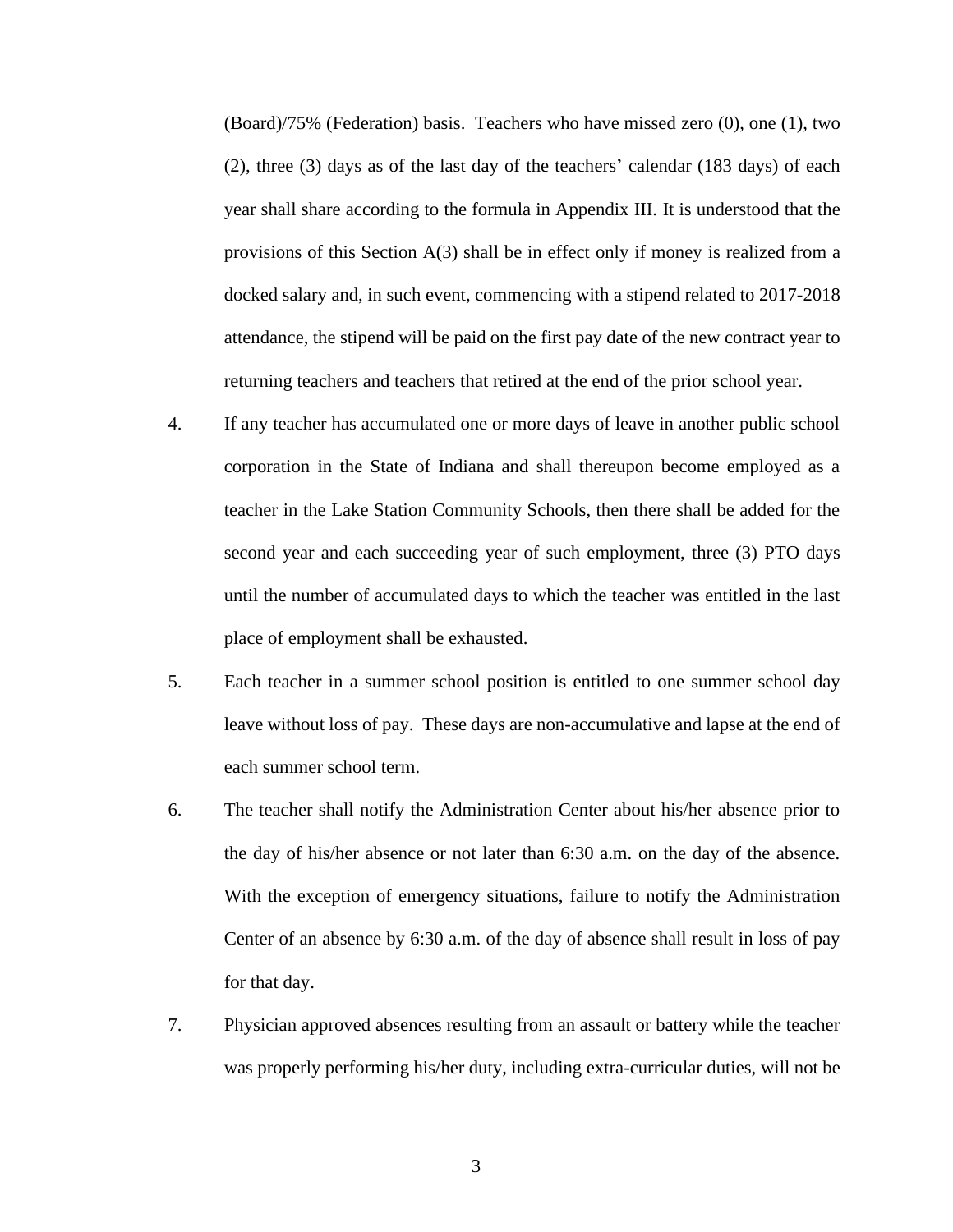(Board)/75% (Federation) basis. Teachers who have missed zero (0), one (1), two (2), three (3) days as of the last day of the teachers' calendar (183 days) of each year shall share according to the formula in Appendix III. It is understood that the provisions of this Section A(3) shall be in effect only if money is realized from a docked salary and, in such event, commencing with a stipend related to 2017-2018 attendance, the stipend will be paid on the first pay date of the new contract year to returning teachers and teachers that retired at the end of the prior school year.

- 4. If any teacher has accumulated one or more days of leave in another public school corporation in the State of Indiana and shall thereupon become employed as a teacher in the Lake Station Community Schools, then there shall be added for the second year and each succeeding year of such employment, three (3) PTO days until the number of accumulated days to which the teacher was entitled in the last place of employment shall be exhausted.
- 5. Each teacher in a summer school position is entitled to one summer school day leave without loss of pay. These days are non-accumulative and lapse at the end of each summer school term.
- 6. The teacher shall notify the Administration Center about his/her absence prior to the day of his/her absence or not later than 6:30 a.m. on the day of the absence. With the exception of emergency situations, failure to notify the Administration Center of an absence by 6:30 a.m. of the day of absence shall result in loss of pay for that day.
- 7. Physician approved absences resulting from an assault or battery while the teacher was properly performing his/her duty, including extra-curricular duties, will not be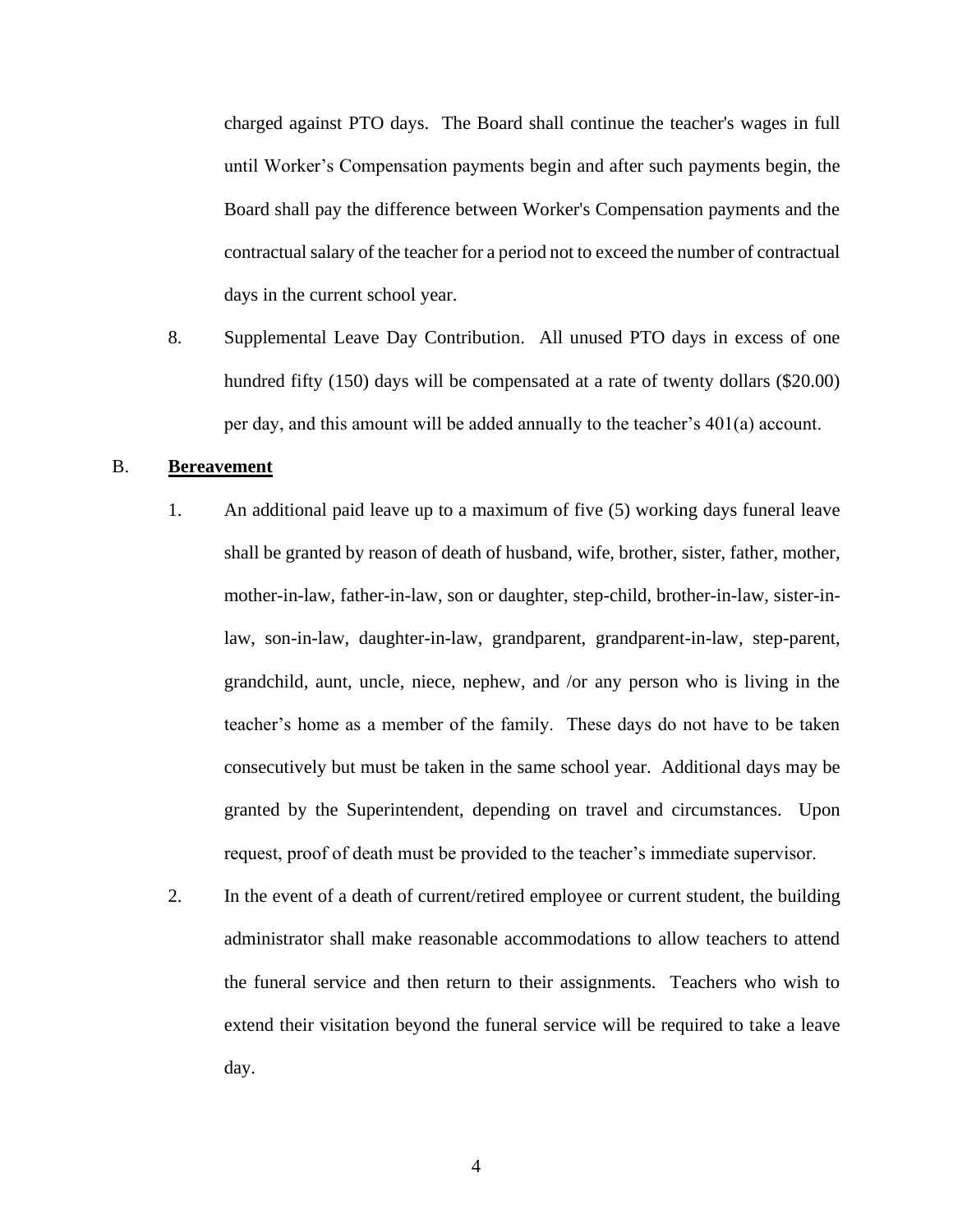charged against PTO days. The Board shall continue the teacher's wages in full until Worker's Compensation payments begin and after such payments begin, the Board shall pay the difference between Worker's Compensation payments and the contractual salary of the teacher for a period not to exceed the number of contractual days in the current school year.

8. Supplemental Leave Day Contribution. All unused PTO days in excess of one hundred fifty (150) days will be compensated at a rate of twenty dollars (\$20.00) per day, and this amount will be added annually to the teacher's 401(a) account.

## <span id="page-6-0"></span>B. **Bereavement**

- 1. An additional paid leave up to a maximum of five (5) working days funeral leave shall be granted by reason of death of husband, wife, brother, sister, father, mother, mother-in-law, father-in-law, son or daughter, step-child, brother-in-law, sister-inlaw, son-in-law, daughter-in-law, grandparent, grandparent-in-law, step-parent, grandchild, aunt, uncle, niece, nephew, and /or any person who is living in the teacher's home as a member of the family. These days do not have to be taken consecutively but must be taken in the same school year. Additional days may be granted by the Superintendent, depending on travel and circumstances. Upon request, proof of death must be provided to the teacher's immediate supervisor.
- 2. In the event of a death of current/retired employee or current student, the building administrator shall make reasonable accommodations to allow teachers to attend the funeral service and then return to their assignments. Teachers who wish to extend their visitation beyond the funeral service will be required to take a leave day.

4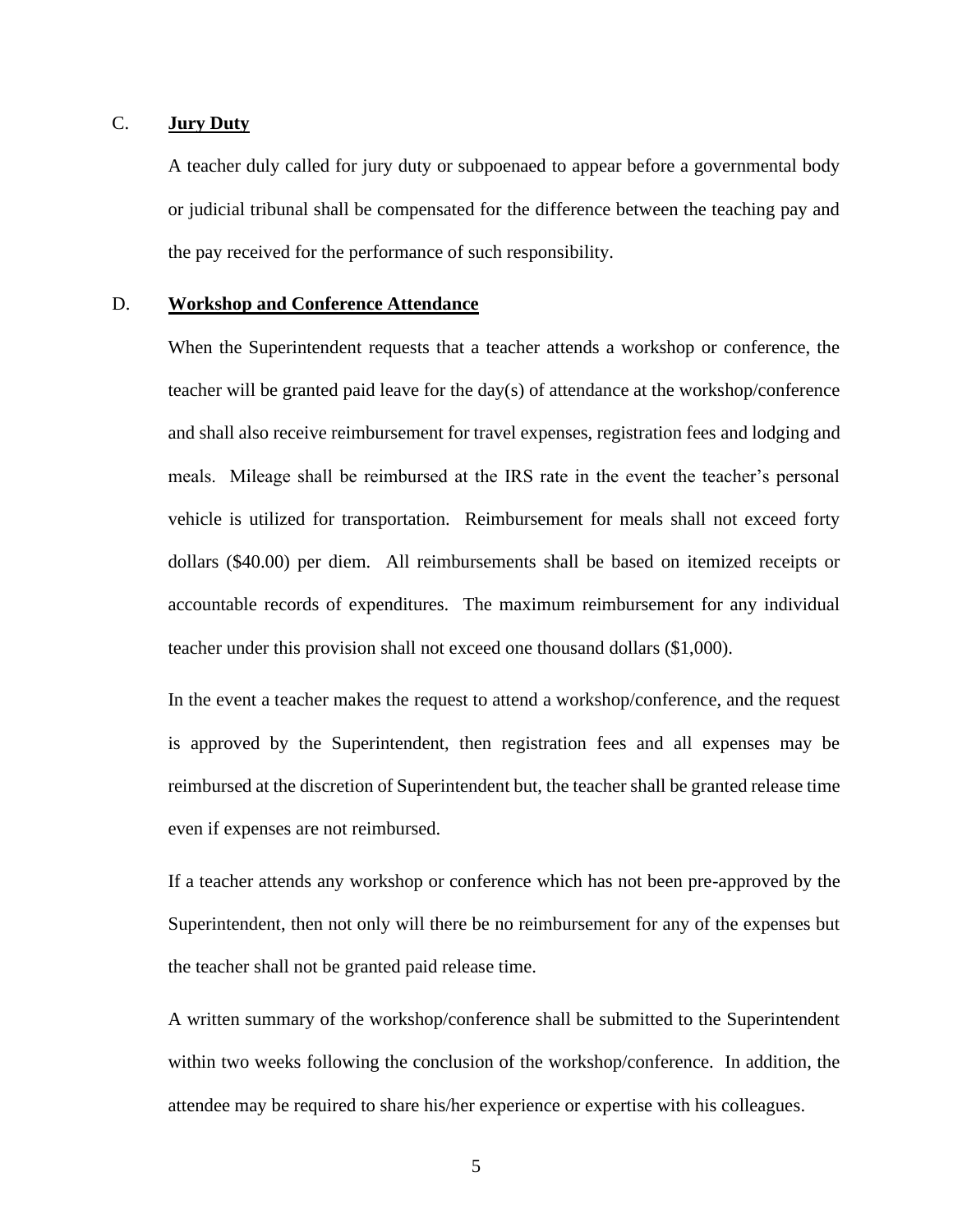## <span id="page-7-0"></span>C. **Jury Duty**

A teacher duly called for jury duty or subpoenaed to appear before a governmental body or judicial tribunal shall be compensated for the difference between the teaching pay and the pay received for the performance of such responsibility.

#### <span id="page-7-1"></span>D. **Workshop and Conference Attendance**

When the Superintendent requests that a teacher attends a workshop or conference, the teacher will be granted paid leave for the day(s) of attendance at the workshop/conference and shall also receive reimbursement for travel expenses, registration fees and lodging and meals. Mileage shall be reimbursed at the IRS rate in the event the teacher's personal vehicle is utilized for transportation. Reimbursement for meals shall not exceed forty dollars (\$40.00) per diem. All reimbursements shall be based on itemized receipts or accountable records of expenditures. The maximum reimbursement for any individual teacher under this provision shall not exceed one thousand dollars (\$1,000).

In the event a teacher makes the request to attend a workshop/conference, and the request is approved by the Superintendent, then registration fees and all expenses may be reimbursed at the discretion of Superintendent but, the teacher shall be granted release time even if expenses are not reimbursed.

If a teacher attends any workshop or conference which has not been pre-approved by the Superintendent, then not only will there be no reimbursement for any of the expenses but the teacher shall not be granted paid release time.

A written summary of the workshop/conference shall be submitted to the Superintendent within two weeks following the conclusion of the workshop/conference. In addition, the attendee may be required to share his/her experience or expertise with his colleagues.

5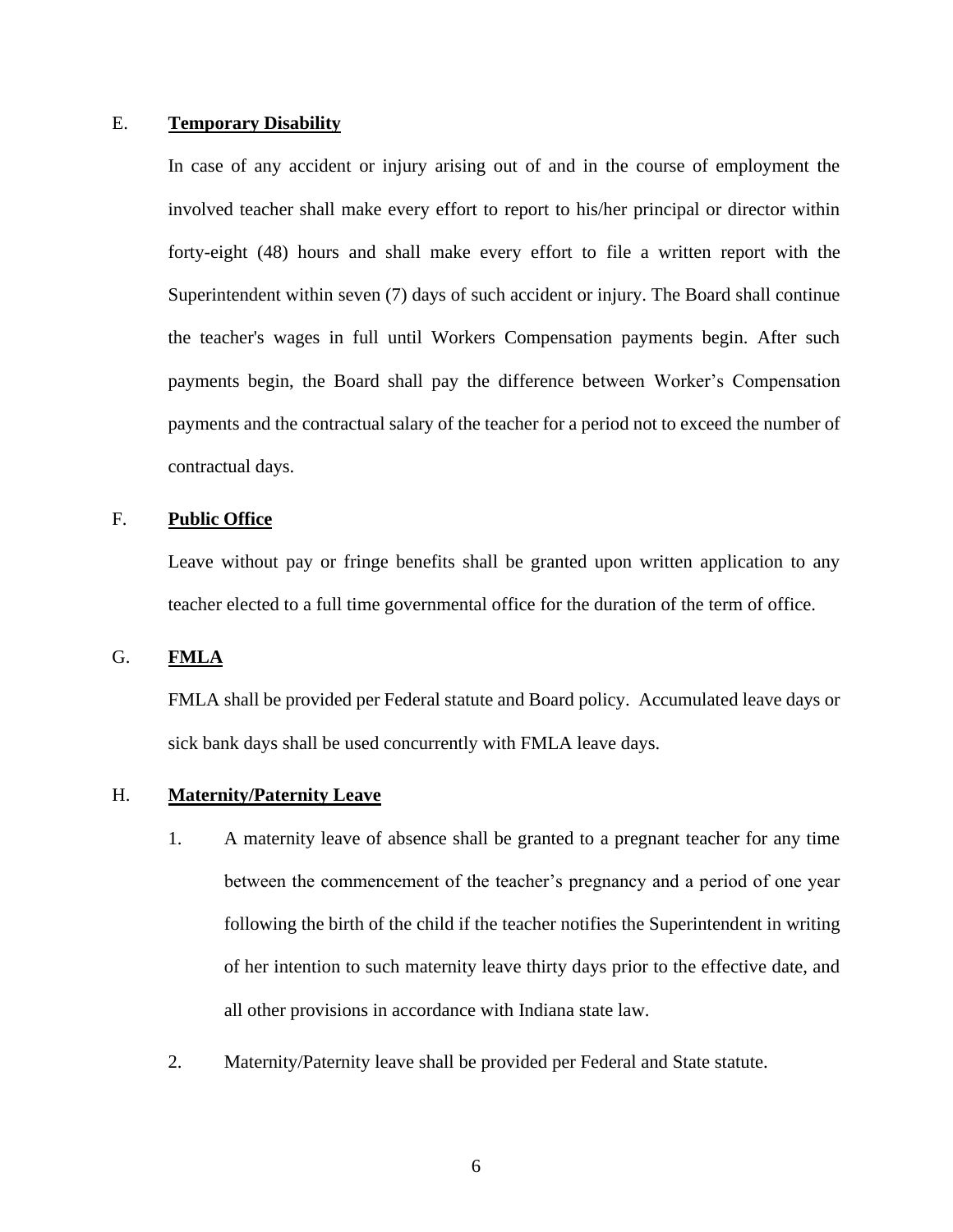## <span id="page-8-0"></span>E. **Temporary Disability**

In case of any accident or injury arising out of and in the course of employment the involved teacher shall make every effort to report to his/her principal or director within forty-eight (48) hours and shall make every effort to file a written report with the Superintendent within seven (7) days of such accident or injury. The Board shall continue the teacher's wages in full until Workers Compensation payments begin. After such payments begin, the Board shall pay the difference between Worker's Compensation payments and the contractual salary of the teacher for a period not to exceed the number of contractual days.

## <span id="page-8-1"></span>F. **Public Office**

Leave without pay or fringe benefits shall be granted upon written application to any teacher elected to a full time governmental office for the duration of the term of office.

### <span id="page-8-2"></span>G. **FMLA**

FMLA shall be provided per Federal statute and Board policy. Accumulated leave days or sick bank days shall be used concurrently with FMLA leave days.

## <span id="page-8-3"></span>H. **Maternity/Paternity Leave**

- 1. A maternity leave of absence shall be granted to a pregnant teacher for any time between the commencement of the teacher's pregnancy and a period of one year following the birth of the child if the teacher notifies the Superintendent in writing of her intention to such maternity leave thirty days prior to the effective date, and all other provisions in accordance with Indiana state law.
- 2. Maternity/Paternity leave shall be provided per Federal and State statute.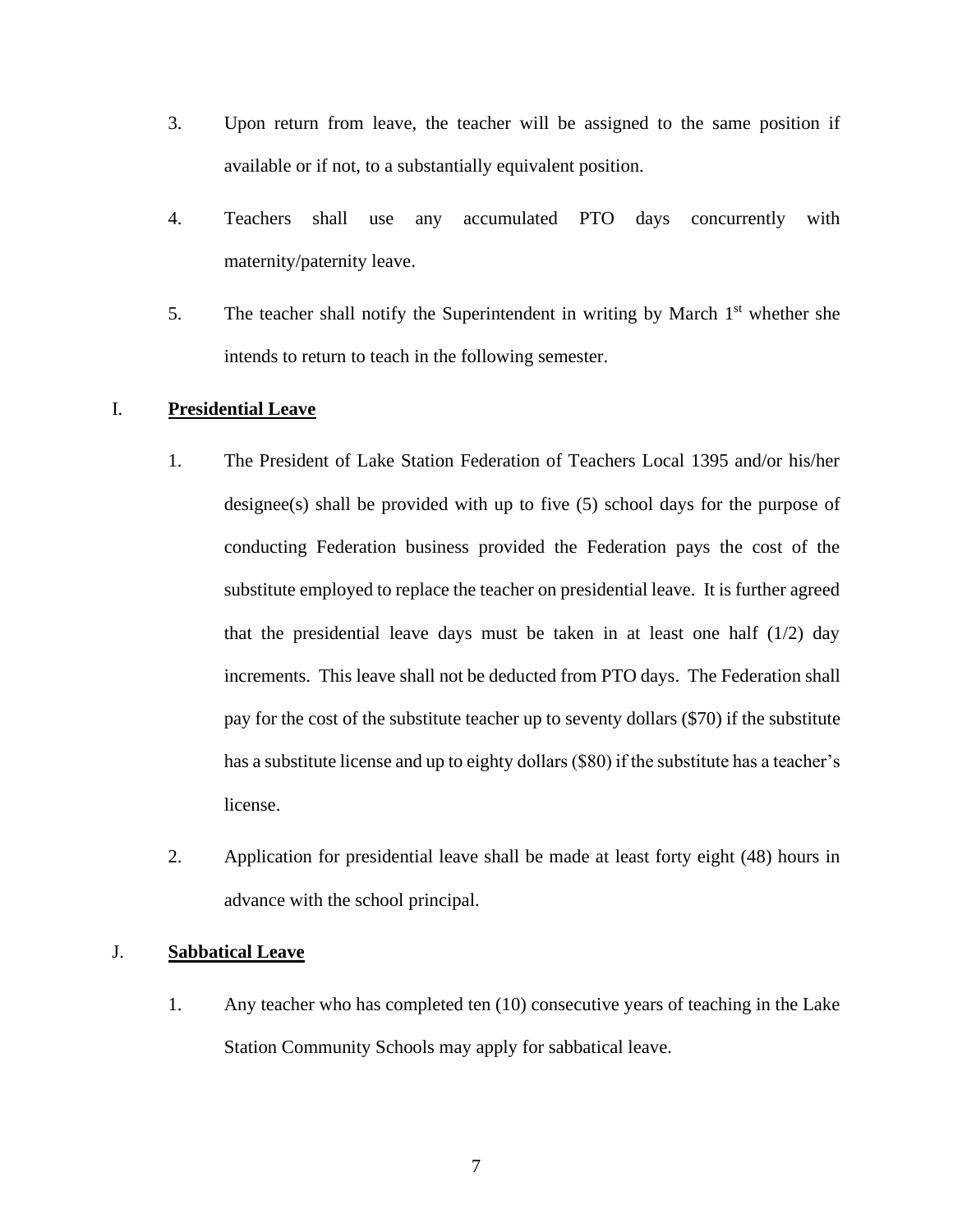- 3. Upon return from leave, the teacher will be assigned to the same position if available or if not, to a substantially equivalent position.
- 4. Teachers shall use any accumulated PTO days concurrently with maternity/paternity leave.
- 5. The teacher shall notify the Superintendent in writing by March  $1<sup>st</sup>$  whether she intends to return to teach in the following semester.

## I. **Presidential Leave**

- 1. The President of Lake Station Federation of Teachers Local 1395 and/or his/her designee(s) shall be provided with up to five (5) school days for the purpose of conducting Federation business provided the Federation pays the cost of the substitute employed to replace the teacher on presidential leave. It is further agreed that the presidential leave days must be taken in at least one half  $(1/2)$  day increments. This leave shall not be deducted from PTO days. The Federation shall pay for the cost of the substitute teacher up to seventy dollars (\$70) if the substitute has a substitute license and up to eighty dollars (\$80) if the substitute has a teacher's license.
- 2. Application for presidential leave shall be made at least forty eight (48) hours in advance with the school principal.

## J. **Sabbatical Leave**

1. Any teacher who has completed ten (10) consecutive years of teaching in the Lake Station Community Schools may apply for sabbatical leave.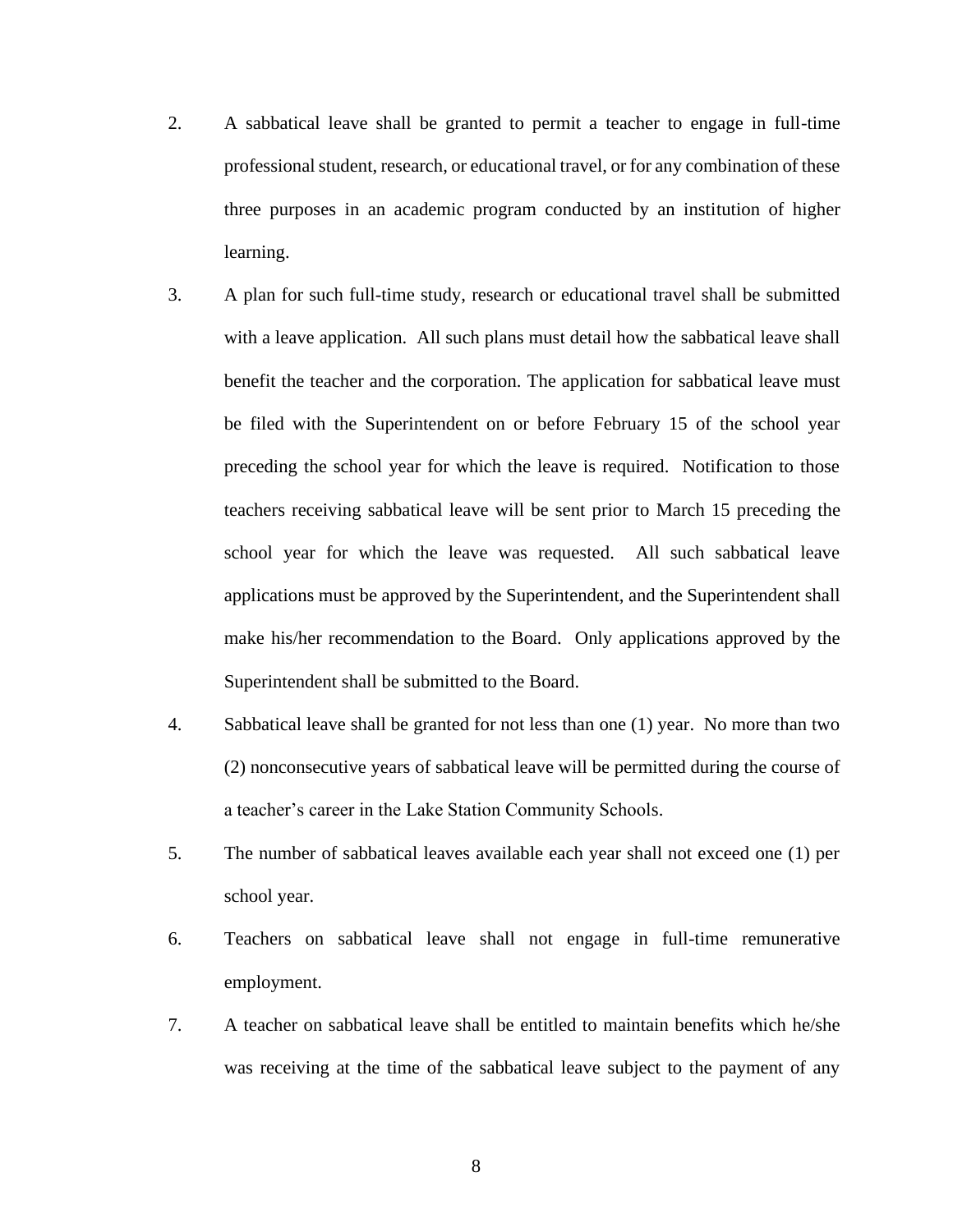- 2. A sabbatical leave shall be granted to permit a teacher to engage in full-time professional student, research, or educational travel, or for any combination of these three purposes in an academic program conducted by an institution of higher learning.
- 3. A plan for such full-time study, research or educational travel shall be submitted with a leave application. All such plans must detail how the sabbatical leave shall benefit the teacher and the corporation. The application for sabbatical leave must be filed with the Superintendent on or before February 15 of the school year preceding the school year for which the leave is required. Notification to those teachers receiving sabbatical leave will be sent prior to March 15 preceding the school year for which the leave was requested. All such sabbatical leave applications must be approved by the Superintendent, and the Superintendent shall make his/her recommendation to the Board. Only applications approved by the Superintendent shall be submitted to the Board.
- 4. Sabbatical leave shall be granted for not less than one (1) year. No more than two (2) nonconsecutive years of sabbatical leave will be permitted during the course of a teacher's career in the Lake Station Community Schools.
- 5. The number of sabbatical leaves available each year shall not exceed one (1) per school year.
- 6. Teachers on sabbatical leave shall not engage in full-time remunerative employment.
- 7. A teacher on sabbatical leave shall be entitled to maintain benefits which he/she was receiving at the time of the sabbatical leave subject to the payment of any

8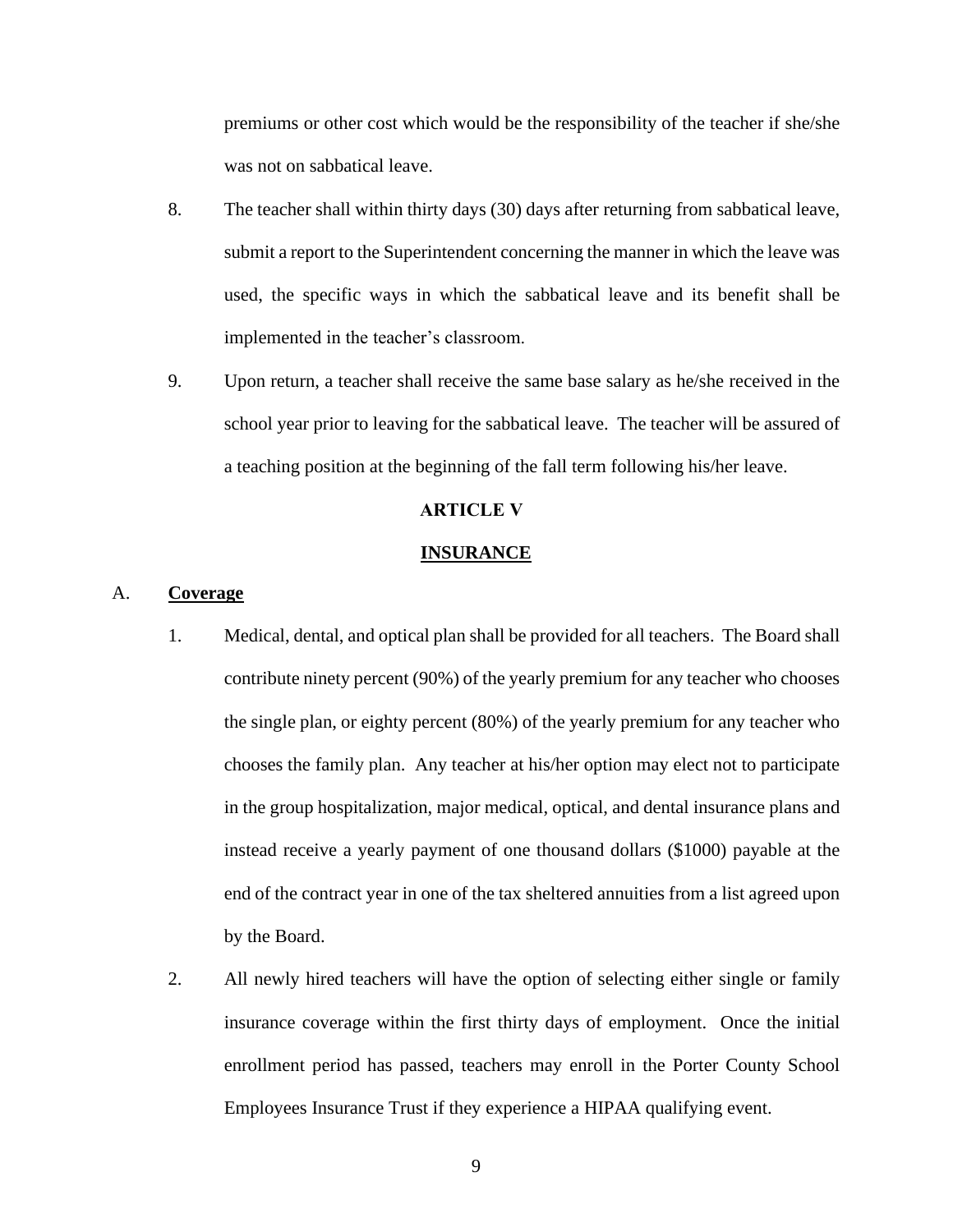premiums or other cost which would be the responsibility of the teacher if she/she was not on sabbatical leave.

- 8. The teacher shall within thirty days (30) days after returning from sabbatical leave, submit a report to the Superintendent concerning the manner in which the leave was used, the specific ways in which the sabbatical leave and its benefit shall be implemented in the teacher's classroom.
- 9. Upon return, a teacher shall receive the same base salary as he/she received in the school year prior to leaving for the sabbatical leave. The teacher will be assured of a teaching position at the beginning of the fall term following his/her leave.

## **ARTICLE V**

#### **INSURANCE**

## <span id="page-11-1"></span><span id="page-11-0"></span>A. **Coverage**

- 1. Medical, dental, and optical plan shall be provided for all teachers. The Board shall contribute ninety percent (90%) of the yearly premium for any teacher who chooses the single plan, or eighty percent (80%) of the yearly premium for any teacher who chooses the family plan. Any teacher at his/her option may elect not to participate in the group hospitalization, major medical, optical, and dental insurance plans and instead receive a yearly payment of one thousand dollars (\$1000) payable at the end of the contract year in one of the tax sheltered annuities from a list agreed upon by the Board.
- 2. All newly hired teachers will have the option of selecting either single or family insurance coverage within the first thirty days of employment. Once the initial enrollment period has passed, teachers may enroll in the Porter County School Employees Insurance Trust if they experience a HIPAA qualifying event.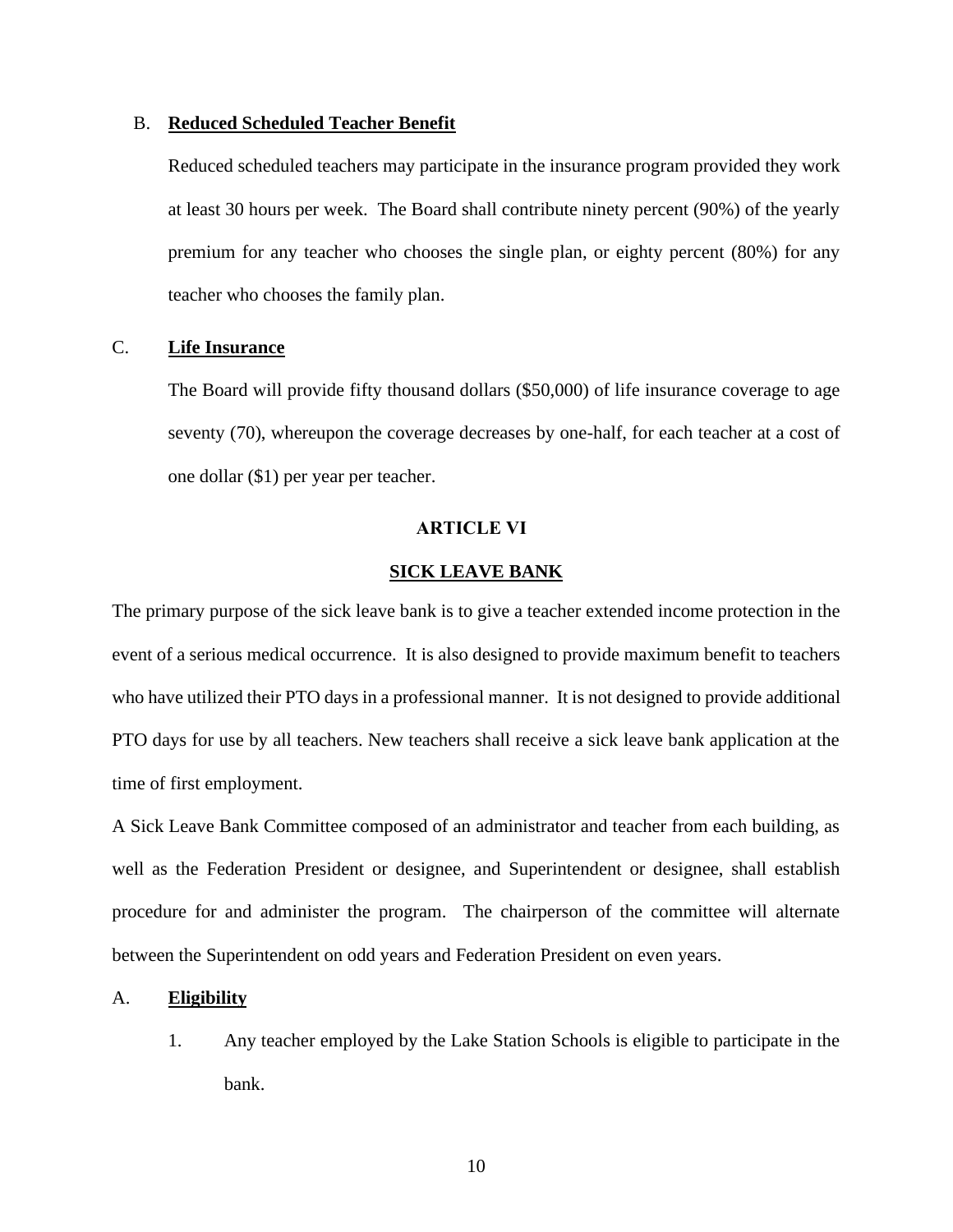#### <span id="page-12-0"></span>B. **Reduced Scheduled Teacher Benefit**

Reduced scheduled teachers may participate in the insurance program provided they work at least 30 hours per week. The Board shall contribute ninety percent (90%) of the yearly premium for any teacher who chooses the single plan, or eighty percent (80%) for any teacher who chooses the family plan.

## <span id="page-12-1"></span>C. **Life Insurance**

The Board will provide fifty thousand dollars (\$50,000) of life insurance coverage to age seventy (70), whereupon the coverage decreases by one-half, for each teacher at a cost of one dollar (\$1) per year per teacher.

#### **ARTICLE VI**

### **SICK LEAVE BANK**

<span id="page-12-2"></span>The primary purpose of the sick leave bank is to give a teacher extended income protection in the event of a serious medical occurrence. It is also designed to provide maximum benefit to teachers who have utilized their PTO days in a professional manner. It is not designed to provide additional PTO days for use by all teachers. New teachers shall receive a sick leave bank application at the time of first employment.

A Sick Leave Bank Committee composed of an administrator and teacher from each building, as well as the Federation President or designee, and Superintendent or designee, shall establish procedure for and administer the program. The chairperson of the committee will alternate between the Superintendent on odd years and Federation President on even years.

#### <span id="page-12-3"></span>A. **Eligibility**

1. Any teacher employed by the Lake Station Schools is eligible to participate in the bank.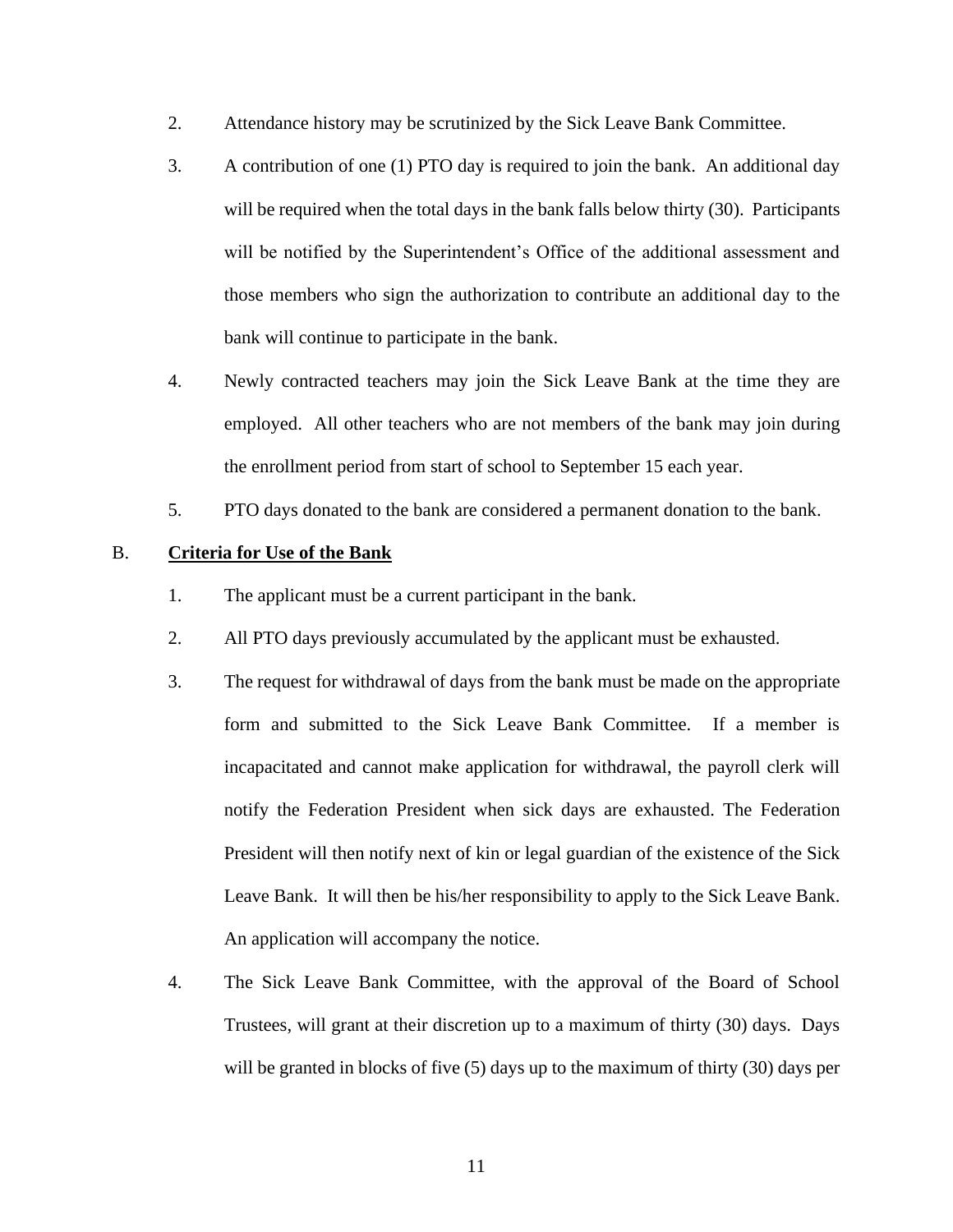- 2. Attendance history may be scrutinized by the Sick Leave Bank Committee.
- 3. A contribution of one (1) PTO day is required to join the bank. An additional day will be required when the total days in the bank falls below thirty (30). Participants will be notified by the Superintendent's Office of the additional assessment and those members who sign the authorization to contribute an additional day to the bank will continue to participate in the bank.
- 4. Newly contracted teachers may join the Sick Leave Bank at the time they are employed. All other teachers who are not members of the bank may join during the enrollment period from start of school to September 15 each year.
- 5. PTO days donated to the bank are considered a permanent donation to the bank.

## <span id="page-13-0"></span>B. **Criteria for Use of the Bank**

- 1. The applicant must be a current participant in the bank.
- 2. All PTO days previously accumulated by the applicant must be exhausted.
- 3. The request for withdrawal of days from the bank must be made on the appropriate form and submitted to the Sick Leave Bank Committee. If a member is incapacitated and cannot make application for withdrawal, the payroll clerk will notify the Federation President when sick days are exhausted. The Federation President will then notify next of kin or legal guardian of the existence of the Sick Leave Bank. It will then be his/her responsibility to apply to the Sick Leave Bank. An application will accompany the notice.
- 4. The Sick Leave Bank Committee, with the approval of the Board of School Trustees, will grant at their discretion up to a maximum of thirty (30) days. Days will be granted in blocks of five (5) days up to the maximum of thirty (30) days per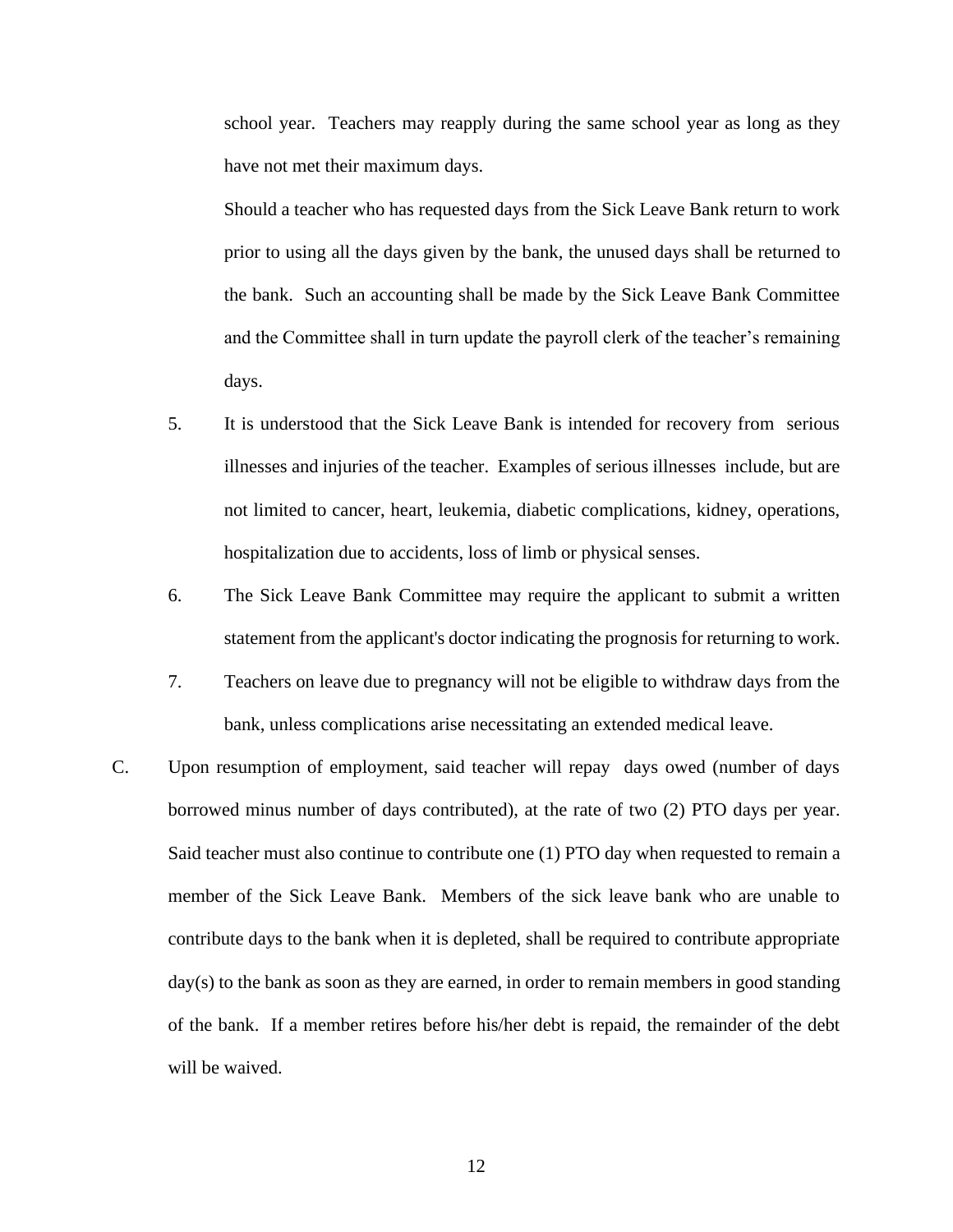school year. Teachers may reapply during the same school year as long as they have not met their maximum days.

Should a teacher who has requested days from the Sick Leave Bank return to work prior to using all the days given by the bank, the unused days shall be returned to the bank. Such an accounting shall be made by the Sick Leave Bank Committee and the Committee shall in turn update the payroll clerk of the teacher's remaining days.

- 5. It is understood that the Sick Leave Bank is intended for recovery from serious illnesses and injuries of the teacher. Examples of serious illnesses include, but are not limited to cancer, heart, leukemia, diabetic complications, kidney, operations, hospitalization due to accidents, loss of limb or physical senses.
- 6. The Sick Leave Bank Committee may require the applicant to submit a written statement from the applicant's doctor indicating the prognosis for returning to work.
- 7. Teachers on leave due to pregnancy will not be eligible to withdraw days from the bank, unless complications arise necessitating an extended medical leave.
- C. Upon resumption of employment, said teacher will repay days owed (number of days borrowed minus number of days contributed), at the rate of two (2) PTO days per year. Said teacher must also continue to contribute one (1) PTO day when requested to remain a member of the Sick Leave Bank. Members of the sick leave bank who are unable to contribute days to the bank when it is depleted, shall be required to contribute appropriate day(s) to the bank as soon as they are earned, in order to remain members in good standing of the bank. If a member retires before his/her debt is repaid, the remainder of the debt will be waived.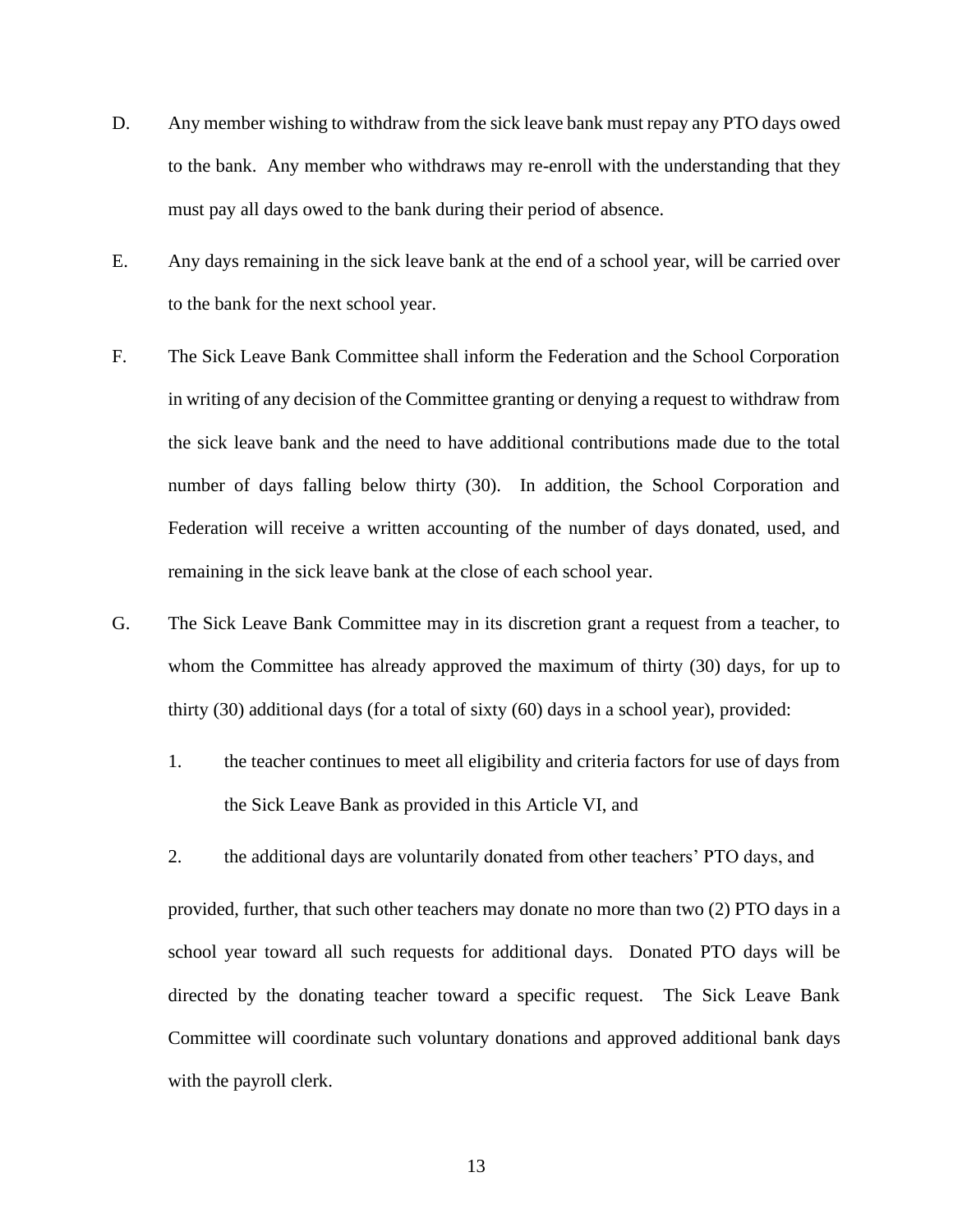- D. Any member wishing to withdraw from the sick leave bank must repay any PTO days owed to the bank. Any member who withdraws may re-enroll with the understanding that they must pay all days owed to the bank during their period of absence.
- E. Any days remaining in the sick leave bank at the end of a school year, will be carried over to the bank for the next school year.
- F. The Sick Leave Bank Committee shall inform the Federation and the School Corporation in writing of any decision of the Committee granting or denying a request to withdraw from the sick leave bank and the need to have additional contributions made due to the total number of days falling below thirty (30). In addition, the School Corporation and Federation will receive a written accounting of the number of days donated, used, and remaining in the sick leave bank at the close of each school year.
- G. The Sick Leave Bank Committee may in its discretion grant a request from a teacher, to whom the Committee has already approved the maximum of thirty (30) days, for up to thirty (30) additional days (for a total of sixty (60) days in a school year), provided:
	- 1. the teacher continues to meet all eligibility and criteria factors for use of days from the Sick Leave Bank as provided in this Article VI, and
	- 2. the additional days are voluntarily donated from other teachers' PTO days, and

provided, further, that such other teachers may donate no more than two (2) PTO days in a school year toward all such requests for additional days. Donated PTO days will be directed by the donating teacher toward a specific request. The Sick Leave Bank Committee will coordinate such voluntary donations and approved additional bank days with the payroll clerk.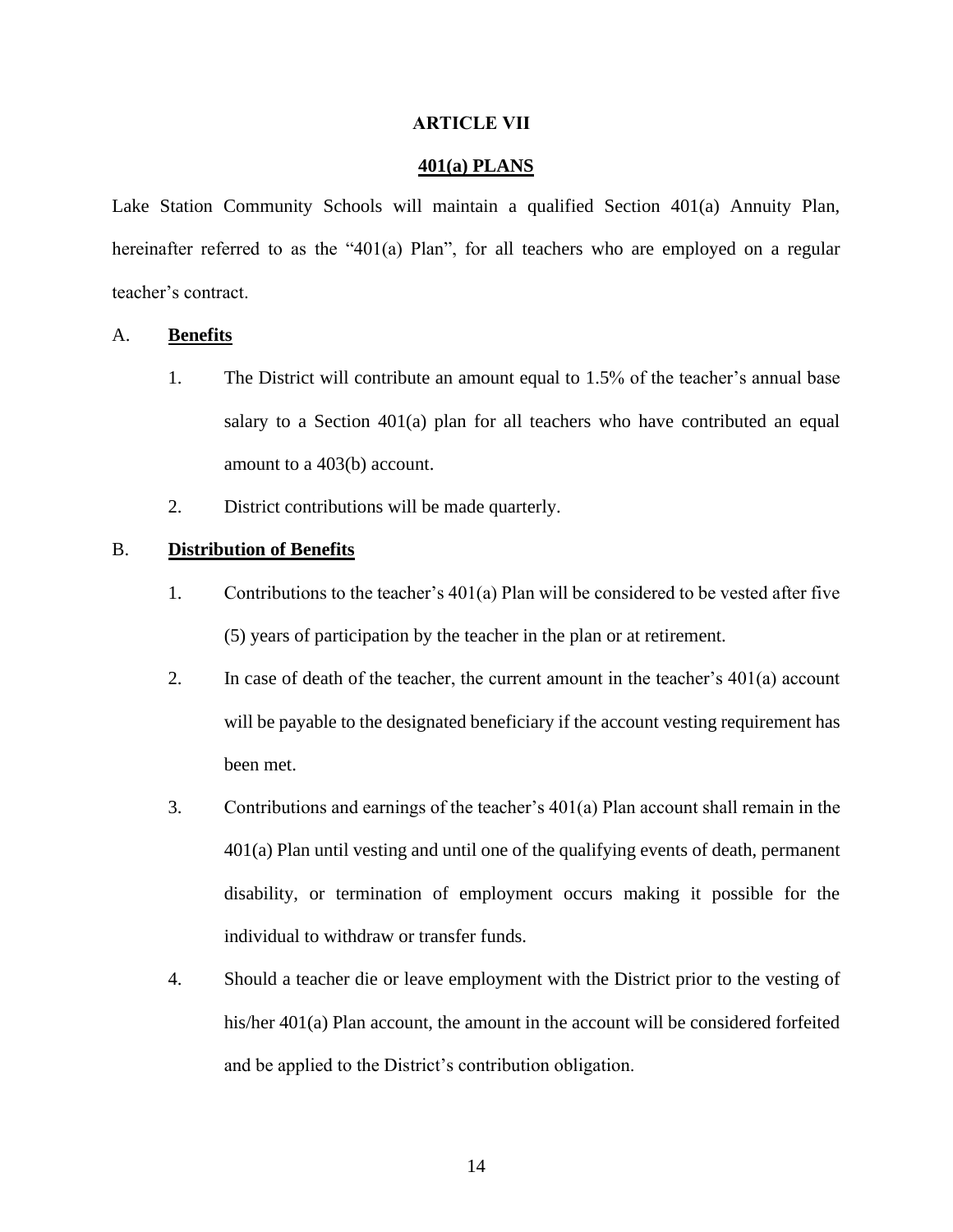#### **ARTICLE VII**

#### **401(a) PLANS**

<span id="page-16-0"></span>Lake Station Community Schools will maintain a qualified Section 401(a) Annuity Plan, hereinafter referred to as the "401(a) Plan", for all teachers who are employed on a regular teacher's contract.

#### <span id="page-16-1"></span>A. **Benefits**

- 1. The District will contribute an amount equal to 1.5% of the teacher's annual base salary to a Section 401(a) plan for all teachers who have contributed an equal amount to a 403(b) account.
- 2. District contributions will be made quarterly.

## <span id="page-16-2"></span>B. **Distribution of Benefits**

- 1. Contributions to the teacher's 401(a) Plan will be considered to be vested after five (5) years of participation by the teacher in the plan or at retirement.
- 2. In case of death of the teacher, the current amount in the teacher's 401(a) account will be payable to the designated beneficiary if the account vesting requirement has been met.
- 3. Contributions and earnings of the teacher's 401(a) Plan account shall remain in the 401(a) Plan until vesting and until one of the qualifying events of death, permanent disability, or termination of employment occurs making it possible for the individual to withdraw or transfer funds.
- 4. Should a teacher die or leave employment with the District prior to the vesting of his/her 401(a) Plan account, the amount in the account will be considered forfeited and be applied to the District's contribution obligation.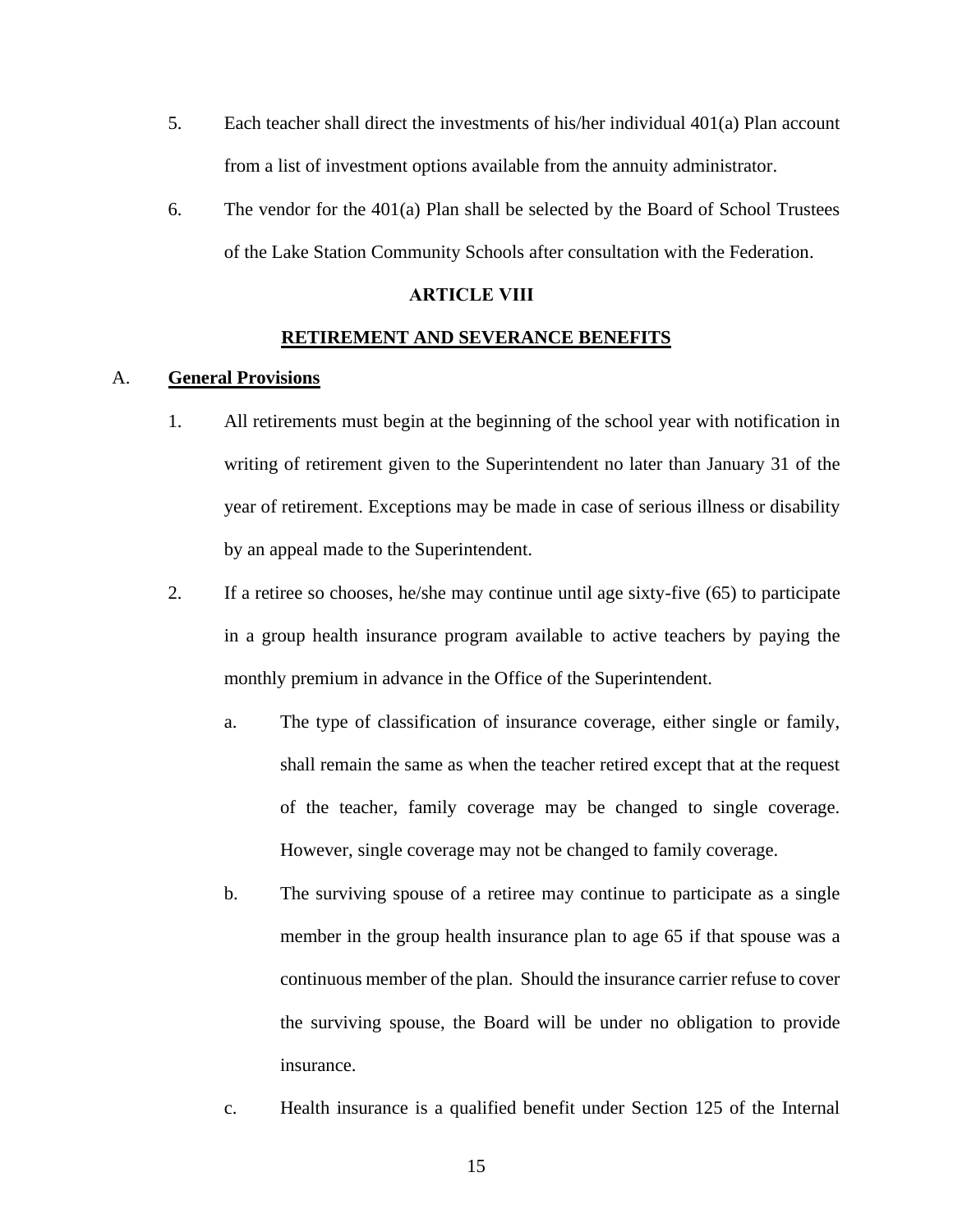- 5. Each teacher shall direct the investments of his/her individual 401(a) Plan account from a list of investment options available from the annuity administrator.
- 6. The vendor for the 401(a) Plan shall be selected by the Board of School Trustees of the Lake Station Community Schools after consultation with the Federation.

## **ARTICLE VIII**

#### **RETIREMENT AND SEVERANCE BENEFITS**

## <span id="page-17-1"></span><span id="page-17-0"></span>A. **General Provisions**

- 1. All retirements must begin at the beginning of the school year with notification in writing of retirement given to the Superintendent no later than January 31 of the year of retirement. Exceptions may be made in case of serious illness or disability by an appeal made to the Superintendent.
- 2. If a retiree so chooses, he/she may continue until age sixty-five (65) to participate in a group health insurance program available to active teachers by paying the monthly premium in advance in the Office of the Superintendent.
	- a. The type of classification of insurance coverage, either single or family, shall remain the same as when the teacher retired except that at the request of the teacher, family coverage may be changed to single coverage. However, single coverage may not be changed to family coverage.
	- b. The surviving spouse of a retiree may continue to participate as a single member in the group health insurance plan to age 65 if that spouse was a continuous member of the plan. Should the insurance carrier refuse to cover the surviving spouse, the Board will be under no obligation to provide insurance.
	- c. Health insurance is a qualified benefit under Section 125 of the Internal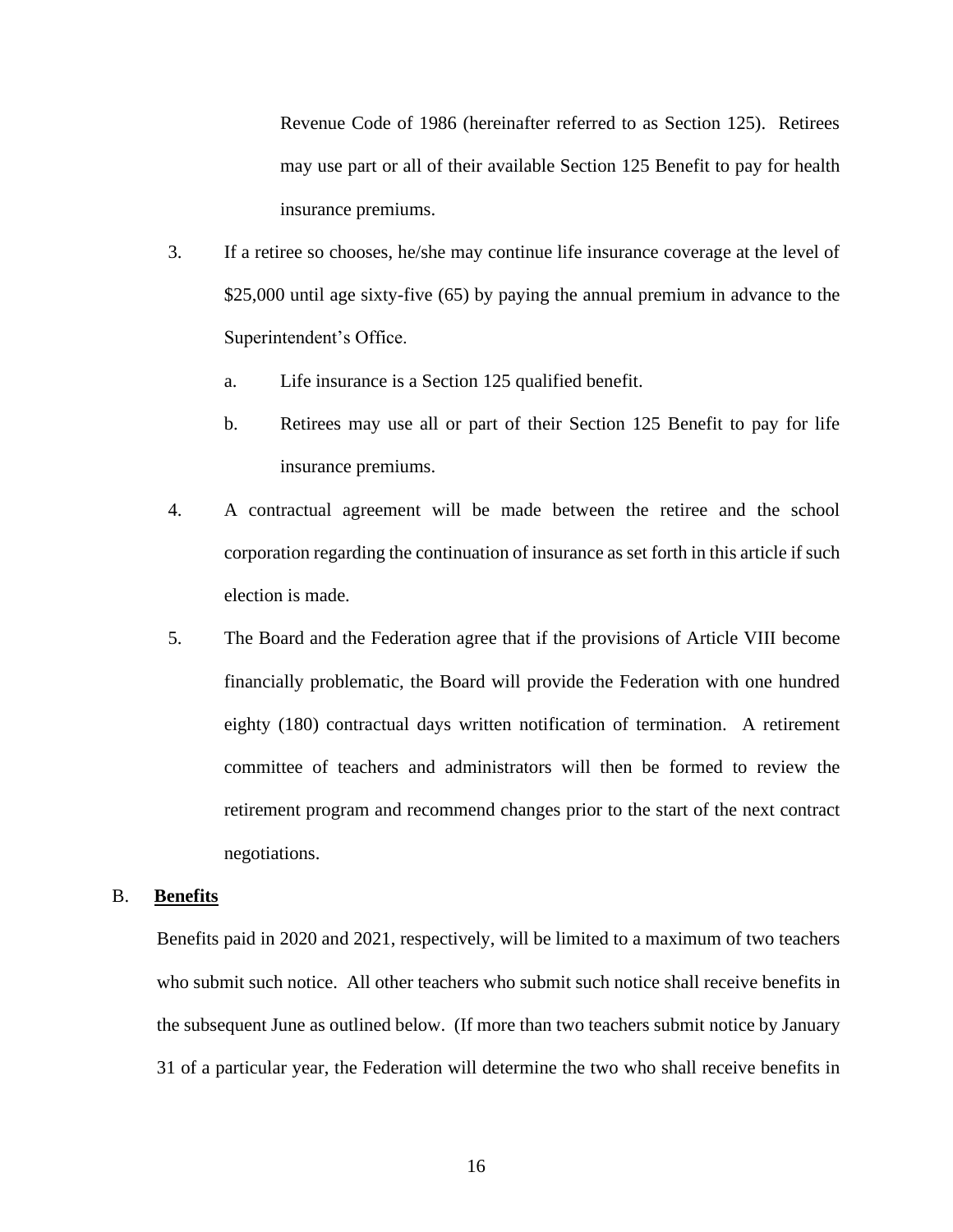Revenue Code of 1986 (hereinafter referred to as Section 125). Retirees may use part or all of their available Section 125 Benefit to pay for health insurance premiums.

- 3. If a retiree so chooses, he/she may continue life insurance coverage at the level of \$25,000 until age sixty-five (65) by paying the annual premium in advance to the Superintendent's Office.
	- a. Life insurance is a Section 125 qualified benefit.
	- b. Retirees may use all or part of their Section 125 Benefit to pay for life insurance premiums.
- 4. A contractual agreement will be made between the retiree and the school corporation regarding the continuation of insurance as set forth in this article if such election is made.
- 5. The Board and the Federation agree that if the provisions of Article VIII become financially problematic, the Board will provide the Federation with one hundred eighty (180) contractual days written notification of termination. A retirement committee of teachers and administrators will then be formed to review the retirement program and recommend changes prior to the start of the next contract negotiations.

#### <span id="page-18-0"></span>B. **Benefits**

Benefits paid in 2020 and 2021, respectively, will be limited to a maximum of two teachers who submit such notice. All other teachers who submit such notice shall receive benefits in the subsequent June as outlined below. (If more than two teachers submit notice by January 31 of a particular year, the Federation will determine the two who shall receive benefits in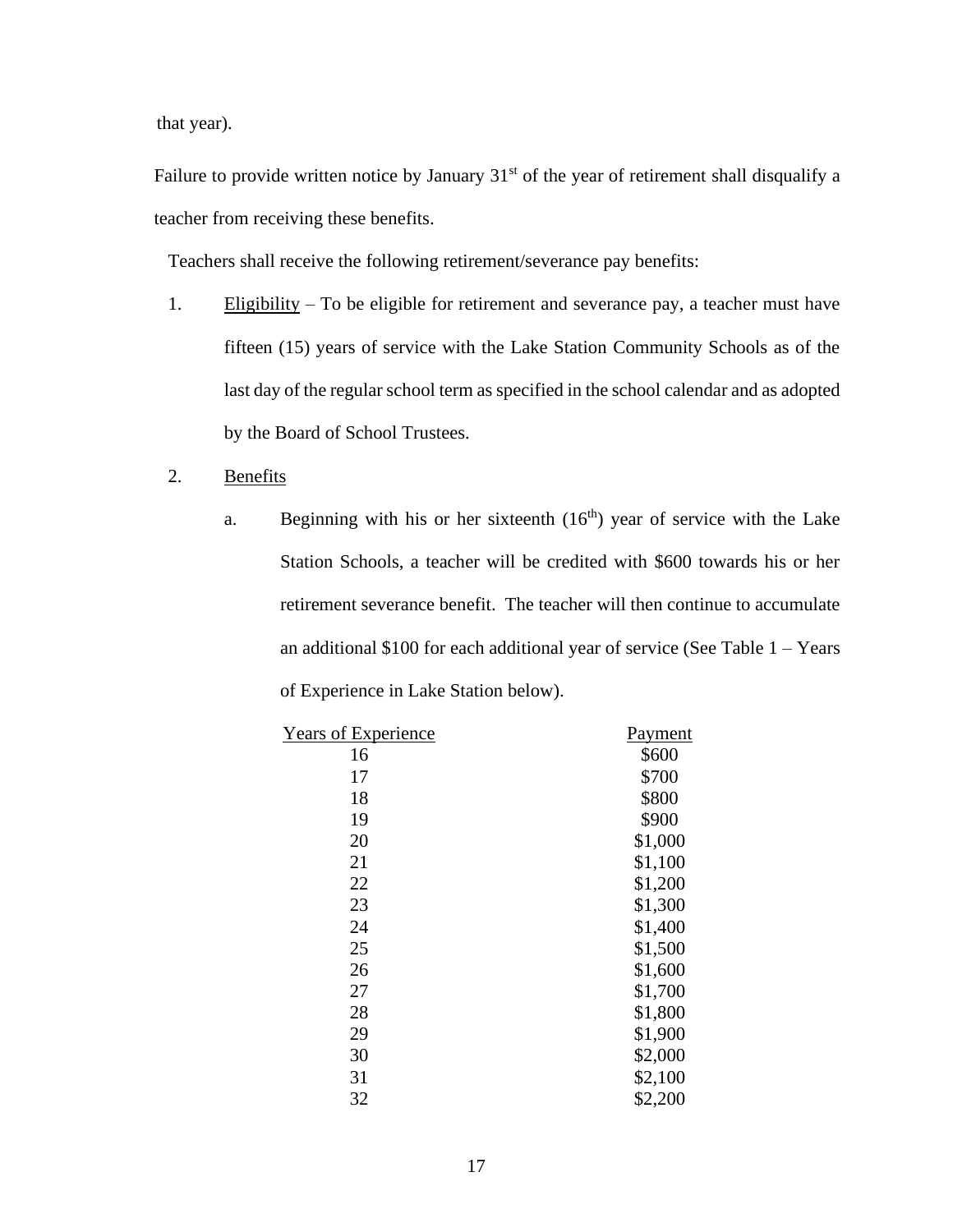that year).

Failure to provide written notice by January 31<sup>st</sup> of the year of retirement shall disqualify a teacher from receiving these benefits.

Teachers shall receive the following retirement/severance pay benefits:

- 1. Eligibility To be eligible for retirement and severance pay, a teacher must have fifteen (15) years of service with the Lake Station Community Schools as of the last day of the regular school term as specified in the school calendar and as adopted by the Board of School Trustees.
- 2. Benefits
	- a. Beginning with his or her sixteenth  $(16<sup>th</sup>)$  year of service with the Lake Station Schools, a teacher will be credited with \$600 towards his or her retirement severance benefit. The teacher will then continue to accumulate an additional  $$100$  for each additional year of service (See Table  $1 - \text{Years}$ ) of Experience in Lake Station below).

| Years of Experience | Payment |
|---------------------|---------|
| 16                  | \$600   |
| 17                  | \$700   |
| 18                  | \$800   |
| 19                  | \$900   |
| 20                  | \$1,000 |
| 21                  | \$1,100 |
| 22                  | \$1,200 |
| 23                  | \$1,300 |
| 24                  | \$1,400 |
| 25                  | \$1,500 |
| 26                  | \$1,600 |
| 27                  | \$1,700 |
| 28                  | \$1,800 |
| 29                  | \$1,900 |
| 30                  | \$2,000 |
| 31                  | \$2,100 |
| 32                  | \$2,200 |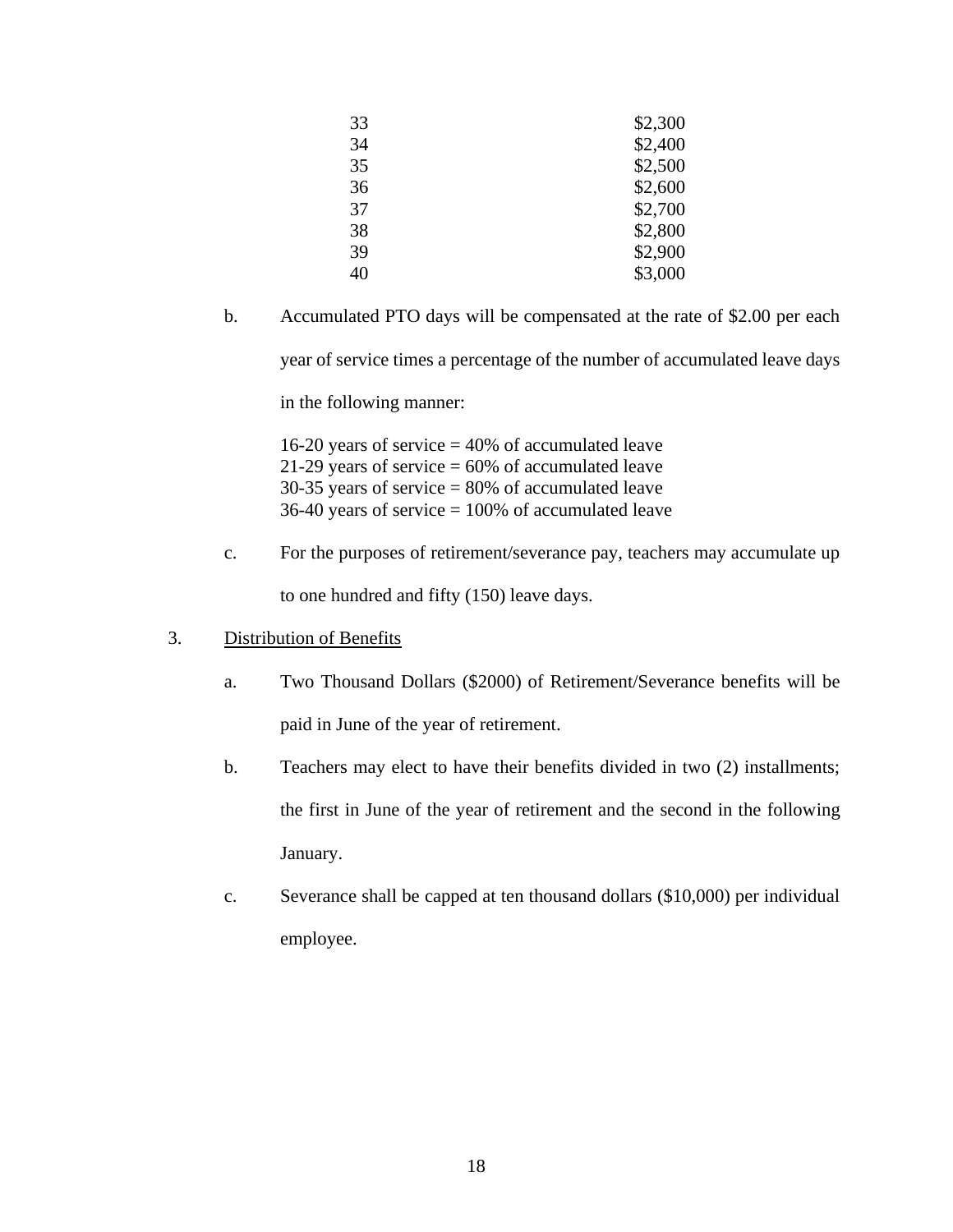| 33 | \$2,300 |
|----|---------|
|    |         |
| 34 | \$2,400 |
| 35 | \$2,500 |
| 36 | \$2,600 |
| 37 | \$2,700 |
| 38 | \$2,800 |
| 39 | \$2,900 |
| 40 | \$3,000 |
|    |         |

b. Accumulated PTO days will be compensated at the rate of \$2.00 per each year of service times a percentage of the number of accumulated leave days

in the following manner:

16-20 years of service  $= 40\%$  of accumulated leave 21-29 years of service  $= 60\%$  of accumulated leave  $30-35$  years of service =  $80\%$  of accumulated leave 36-40 years of service  $= 100\%$  of accumulated leave

- c. For the purposes of retirement/severance pay, teachers may accumulate up to one hundred and fifty (150) leave days.
- 3. Distribution of Benefits
	- a. Two Thousand Dollars (\$2000) of Retirement/Severance benefits will be paid in June of the year of retirement.
	- b. Teachers may elect to have their benefits divided in two (2) installments; the first in June of the year of retirement and the second in the following January.
	- c. Severance shall be capped at ten thousand dollars (\$10,000) per individual employee.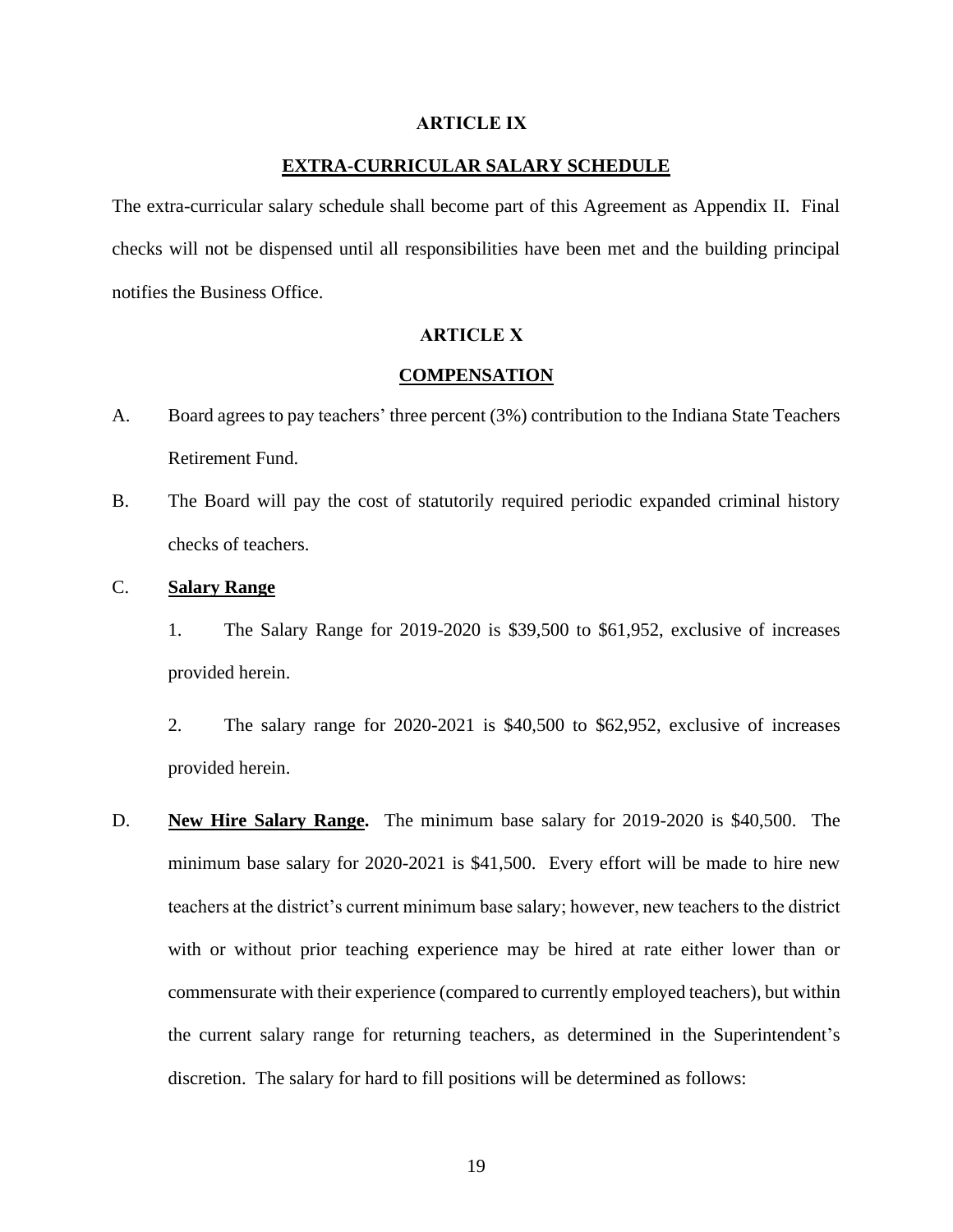#### **ARTICLE IX**

## **EXTRA-CURRICULAR SALARY SCHEDULE**

<span id="page-21-0"></span>The extra-curricular salary schedule shall become part of this Agreement as Appendix II. Final checks will not be dispensed until all responsibilities have been met and the building principal notifies the Business Office.

## **ARTICLE X**

## **COMPENSATION**

- <span id="page-21-2"></span><span id="page-21-1"></span>A. Board agrees to pay teachers' three percent (3%) contribution to the Indiana State Teachers Retirement Fund.
- B. The Board will pay the cost of statutorily required periodic expanded criminal history checks of teachers.
- <span id="page-21-3"></span>C. **Salary Range**

1. The Salary Range for 2019-2020 is \$39,500 to \$61,952, exclusive of increases provided herein.

2. The salary range for 2020-2021 is \$40,500 to \$62,952, exclusive of increases provided herein.

D. **New Hire Salary Range.** The minimum base salary for 2019-2020 is \$40,500. The minimum base salary for 2020-2021 is \$41,500. Every effort will be made to hire new teachers at the district's current minimum base salary; however, new teachers to the district with or without prior teaching experience may be hired at rate either lower than or commensurate with their experience (compared to currently employed teachers), but within the current salary range for returning teachers, as determined in the Superintendent's discretion. The salary for hard to fill positions will be determined as follows: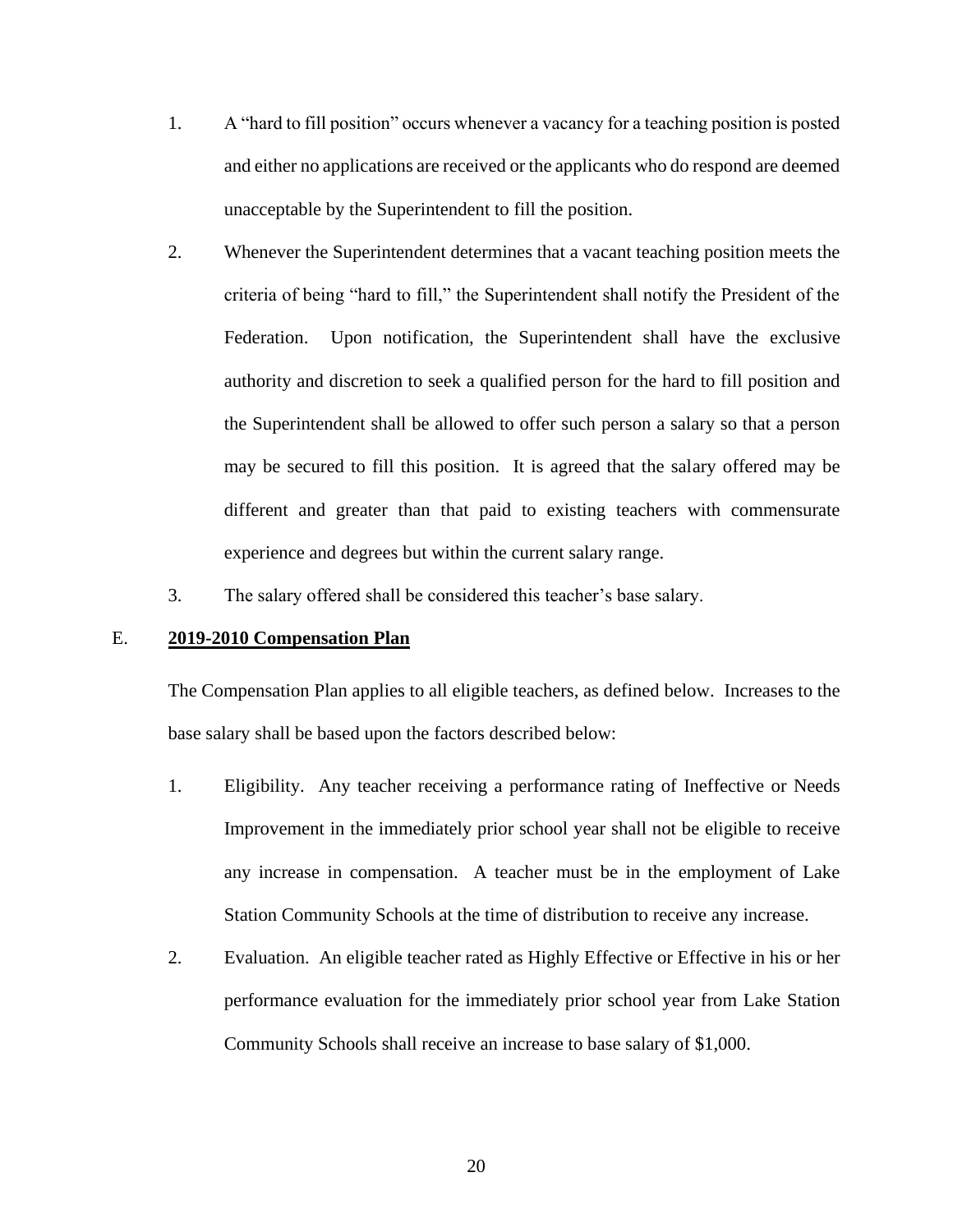- 1. A "hard to fill position" occurs whenever a vacancy for a teaching position is posted and either no applications are received or the applicants who do respond are deemed unacceptable by the Superintendent to fill the position.
- 2. Whenever the Superintendent determines that a vacant teaching position meets the criteria of being "hard to fill," the Superintendent shall notify the President of the Federation. Upon notification, the Superintendent shall have the exclusive authority and discretion to seek a qualified person for the hard to fill position and the Superintendent shall be allowed to offer such person a salary so that a person may be secured to fill this position. It is agreed that the salary offered may be different and greater than that paid to existing teachers with commensurate experience and degrees but within the current salary range.
- 3. The salary offered shall be considered this teacher's base salary.

### <span id="page-22-0"></span>E. **2019-2010 Compensation Plan**

The Compensation Plan applies to all eligible teachers, as defined below. Increases to the base salary shall be based upon the factors described below:

- 1. Eligibility. Any teacher receiving a performance rating of Ineffective or Needs Improvement in the immediately prior school year shall not be eligible to receive any increase in compensation. A teacher must be in the employment of Lake Station Community Schools at the time of distribution to receive any increase.
- 2. Evaluation. An eligible teacher rated as Highly Effective or Effective in his or her performance evaluation for the immediately prior school year from Lake Station Community Schools shall receive an increase to base salary of \$1,000.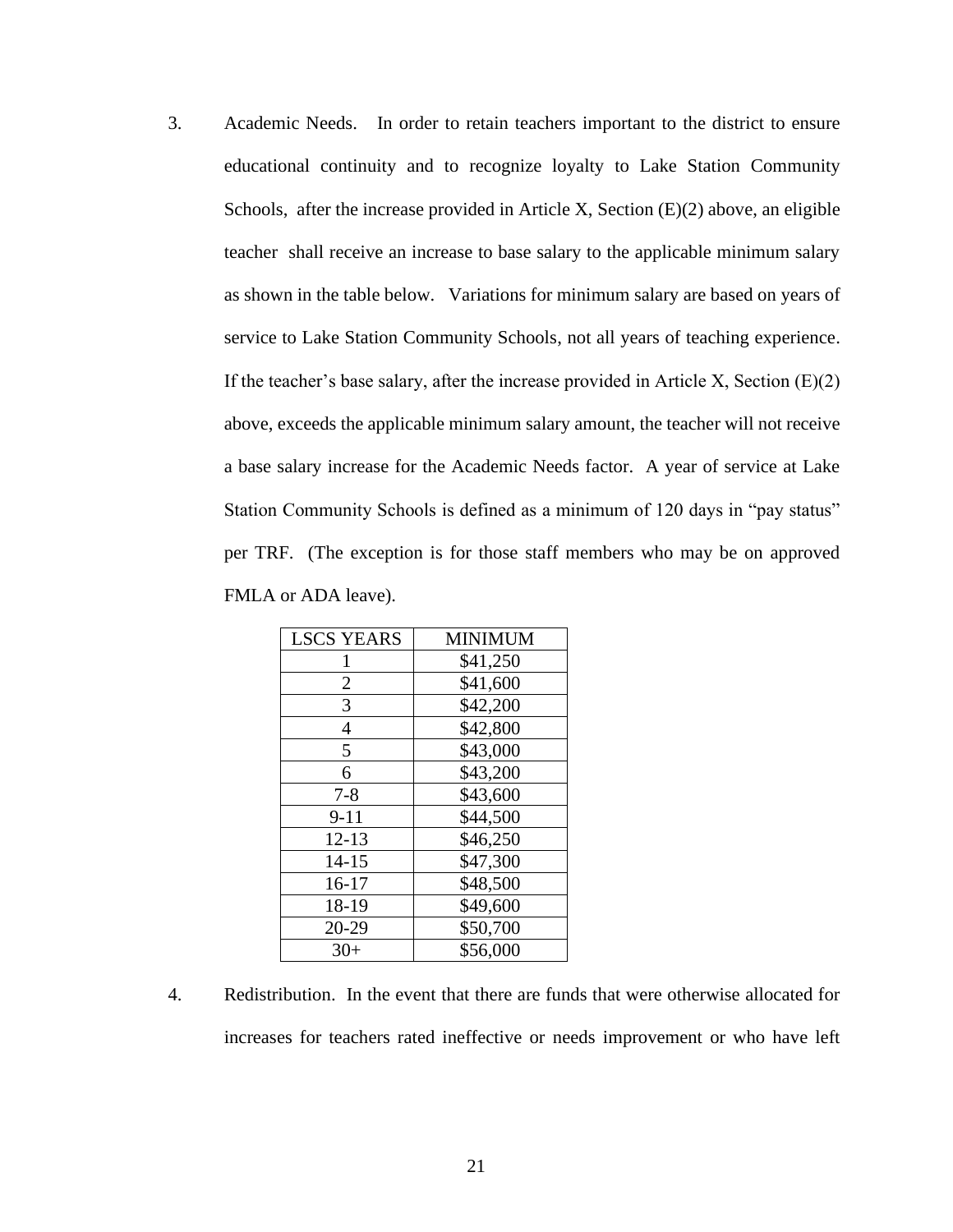3. Academic Needs. In order to retain teachers important to the district to ensure educational continuity and to recognize loyalty to Lake Station Community Schools, after the increase provided in Article X, Section (E)(2) above, an eligible teacher shall receive an increase to base salary to the applicable minimum salary as shown in the table below. Variations for minimum salary are based on years of service to Lake Station Community Schools, not all years of teaching experience. If the teacher's base salary, after the increase provided in Article X, Section  $(E)(2)$ above, exceeds the applicable minimum salary amount, the teacher will not receive a base salary increase for the Academic Needs factor. A year of service at Lake Station Community Schools is defined as a minimum of 120 days in "pay status" per TRF. (The exception is for those staff members who may be on approved FMLA or ADA leave).

| <b>LSCS YEARS</b> | MINIMUM  |
|-------------------|----------|
| 1                 | \$41,250 |
| 2                 | \$41,600 |
| 3                 | \$42,200 |
| $\overline{4}$    | \$42,800 |
| 5                 | \$43,000 |
| 6                 | \$43,200 |
| $7 - 8$           | \$43,600 |
| $9 - 11$          | \$44,500 |
| $12 - 13$         | \$46,250 |
| $14 - 15$         | \$47,300 |
| $16-17$           | \$48,500 |
| 18-19             | \$49,600 |
| 20-29             | \$50,700 |
| $30+$             | \$56,000 |

4. Redistribution. In the event that there are funds that were otherwise allocated for increases for teachers rated ineffective or needs improvement or who have left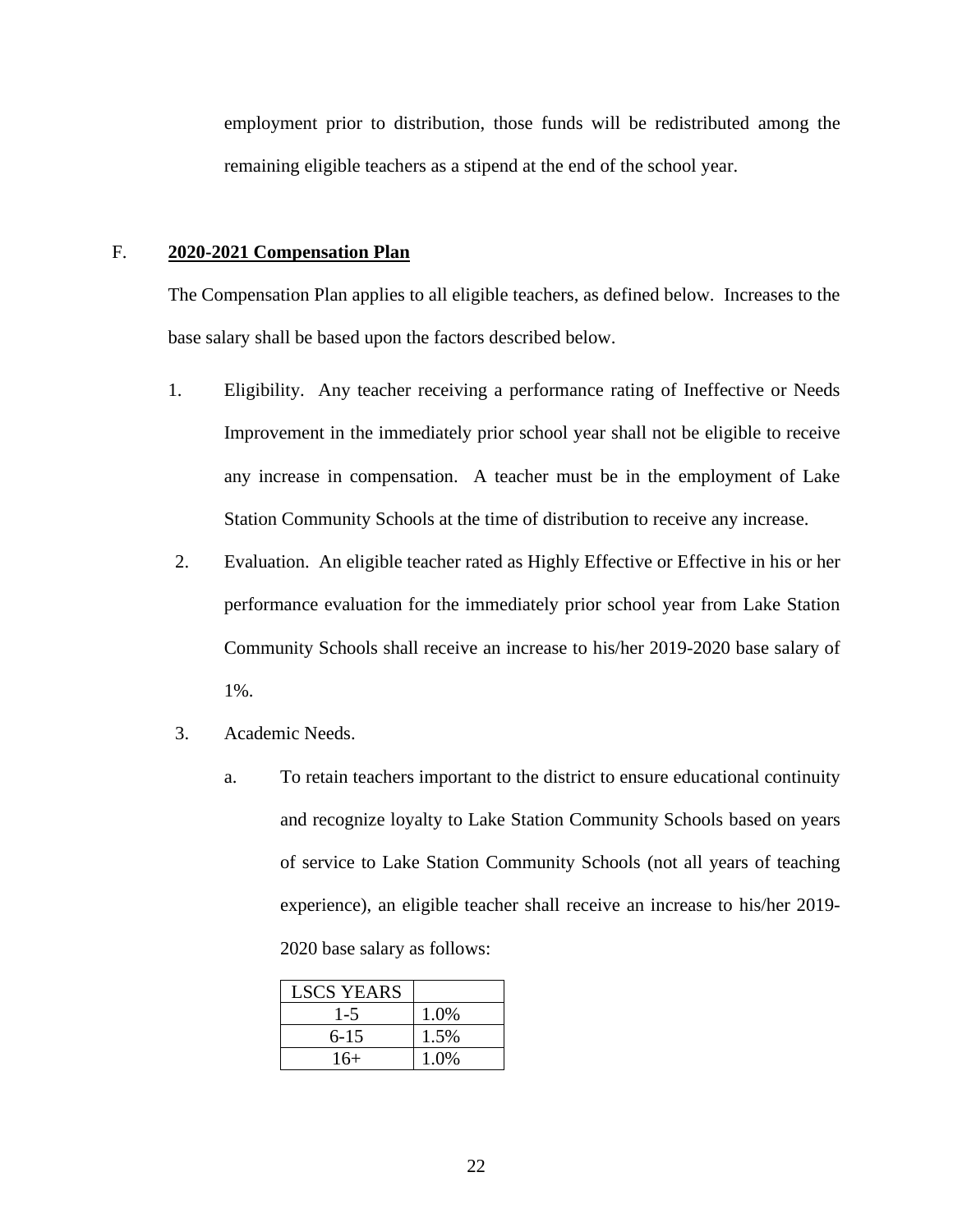employment prior to distribution, those funds will be redistributed among the remaining eligible teachers as a stipend at the end of the school year.

#### F. **2020-2021 Compensation Plan**

The Compensation Plan applies to all eligible teachers, as defined below. Increases to the base salary shall be based upon the factors described below.

- 1. Eligibility. Any teacher receiving a performance rating of Ineffective or Needs Improvement in the immediately prior school year shall not be eligible to receive any increase in compensation. A teacher must be in the employment of Lake Station Community Schools at the time of distribution to receive any increase.
- 2. Evaluation. An eligible teacher rated as Highly Effective or Effective in his or her performance evaluation for the immediately prior school year from Lake Station Community Schools shall receive an increase to his/her 2019-2020 base salary of 1%.
- 3. Academic Needs.
	- a. To retain teachers important to the district to ensure educational continuity and recognize loyalty to Lake Station Community Schools based on years of service to Lake Station Community Schools (not all years of teaching experience), an eligible teacher shall receive an increase to his/her 2019- 2020 base salary as follows:

| <b>LSCS YEARS</b> |      |
|-------------------|------|
| $1 - 5$           | 1.0% |
| $6 - 15$          | 1.5% |
| $16+$             | 1.0% |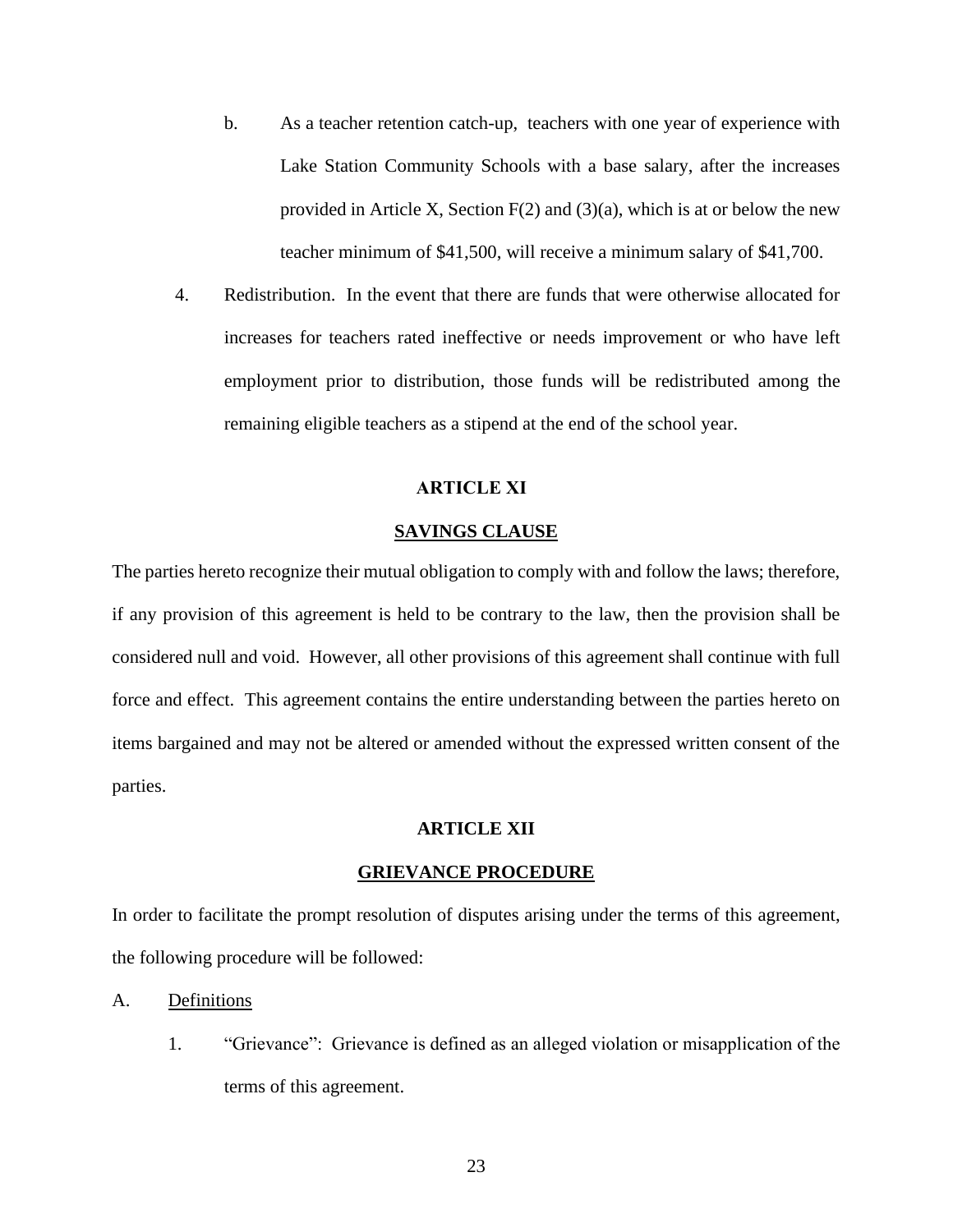- b. As a teacher retention catch-up, teachers with one year of experience with Lake Station Community Schools with a base salary, after the increases provided in Article X, Section  $F(2)$  and  $(3)(a)$ , which is at or below the new teacher minimum of \$41,500, will receive a minimum salary of \$41,700.
- 4. Redistribution. In the event that there are funds that were otherwise allocated for increases for teachers rated ineffective or needs improvement or who have left employment prior to distribution, those funds will be redistributed among the remaining eligible teachers as a stipend at the end of the school year.

## **ARTICLE XI**

## **SAVINGS CLAUSE**

<span id="page-25-0"></span>The parties hereto recognize their mutual obligation to comply with and follow the laws; therefore, if any provision of this agreement is held to be contrary to the law, then the provision shall be considered null and void. However, all other provisions of this agreement shall continue with full force and effect. This agreement contains the entire understanding between the parties hereto on items bargained and may not be altered or amended without the expressed written consent of the parties.

#### **ARTICLE XII**

### **GRIEVANCE PROCEDURE**

In order to facilitate the prompt resolution of disputes arising under the terms of this agreement, the following procedure will be followed:

- A. Definitions
	- 1. "Grievance": Grievance is defined as an alleged violation or misapplication of the terms of this agreement.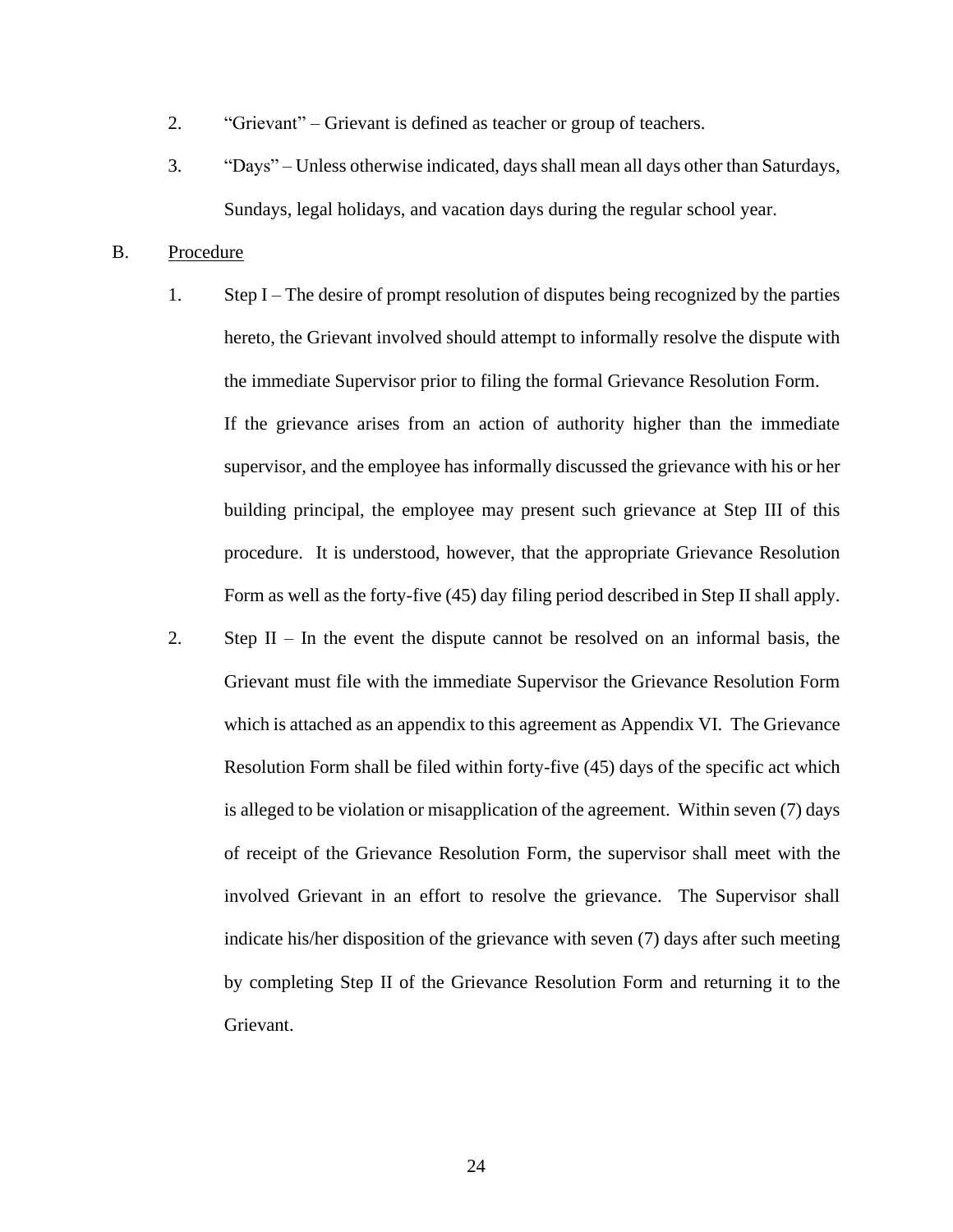- 2. "Grievant" Grievant is defined as teacher or group of teachers.
- 3. "Days" Unless otherwise indicated, days shall mean all days other than Saturdays, Sundays, legal holidays, and vacation days during the regular school year.

## B. Procedure

- 1. Step I The desire of prompt resolution of disputes being recognized by the parties hereto, the Grievant involved should attempt to informally resolve the dispute with the immediate Supervisor prior to filing the formal Grievance Resolution Form. If the grievance arises from an action of authority higher than the immediate supervisor, and the employee has informally discussed the grievance with his or her building principal, the employee may present such grievance at Step III of this procedure. It is understood, however, that the appropriate Grievance Resolution Form as well as the forty-five (45) day filing period described in Step II shall apply.
- 2. Step II In the event the dispute cannot be resolved on an informal basis, the Grievant must file with the immediate Supervisor the Grievance Resolution Form which is attached as an appendix to this agreement as Appendix VI. The Grievance Resolution Form shall be filed within forty-five (45) days of the specific act which is alleged to be violation or misapplication of the agreement. Within seven (7) days of receipt of the Grievance Resolution Form, the supervisor shall meet with the involved Grievant in an effort to resolve the grievance. The Supervisor shall indicate his/her disposition of the grievance with seven (7) days after such meeting by completing Step II of the Grievance Resolution Form and returning it to the Grievant.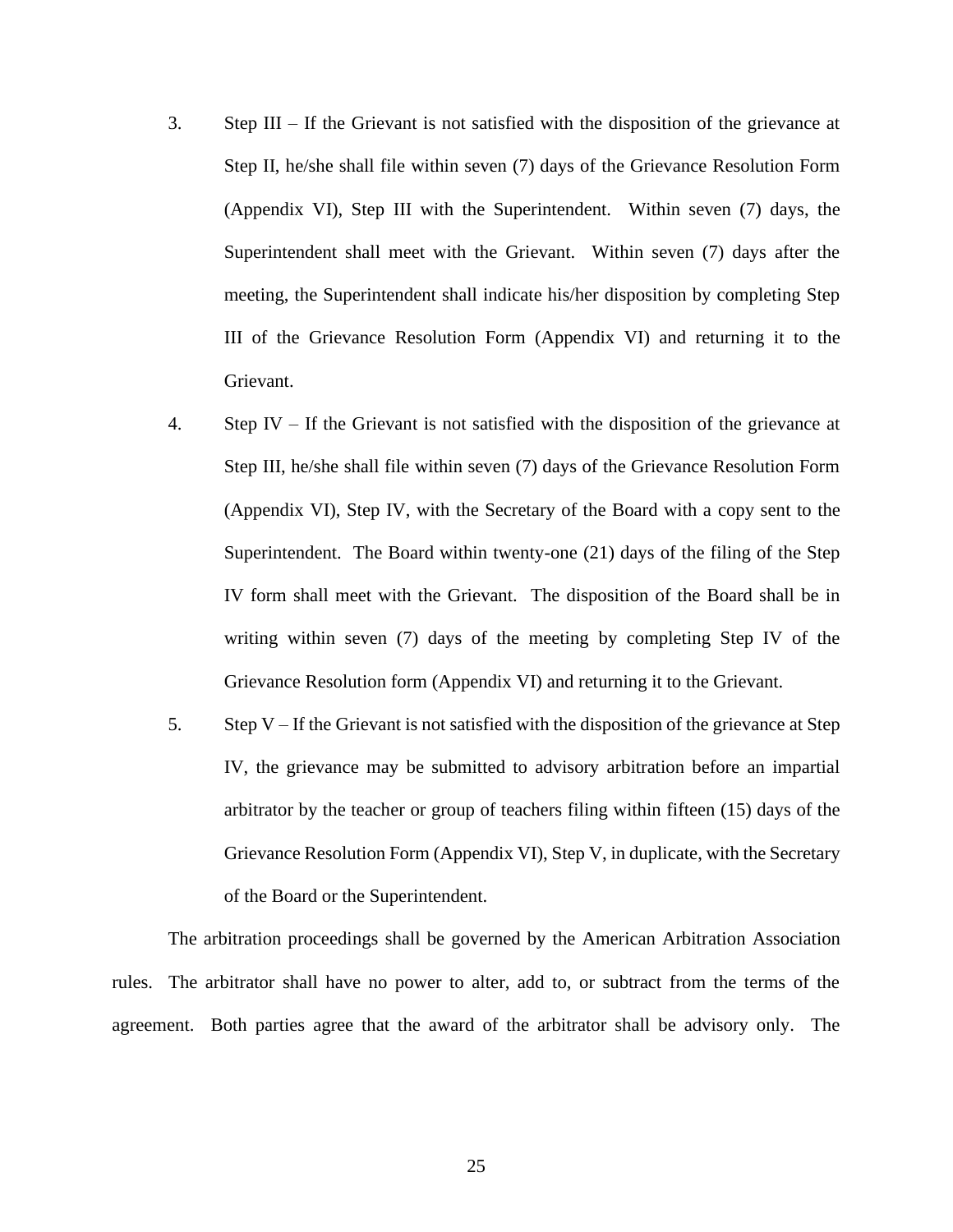- 3. Step III If the Grievant is not satisfied with the disposition of the grievance at Step II, he/she shall file within seven (7) days of the Grievance Resolution Form (Appendix VI), Step III with the Superintendent. Within seven (7) days, the Superintendent shall meet with the Grievant. Within seven (7) days after the meeting, the Superintendent shall indicate his/her disposition by completing Step III of the Grievance Resolution Form (Appendix VI) and returning it to the Grievant.
- 4. Step IV If the Grievant is not satisfied with the disposition of the grievance at Step III, he/she shall file within seven (7) days of the Grievance Resolution Form (Appendix VI), Step IV, with the Secretary of the Board with a copy sent to the Superintendent. The Board within twenty-one (21) days of the filing of the Step IV form shall meet with the Grievant. The disposition of the Board shall be in writing within seven (7) days of the meeting by completing Step IV of the Grievance Resolution form (Appendix VI) and returning it to the Grievant.
- 5. Step V If the Grievant is not satisfied with the disposition of the grievance at Step IV, the grievance may be submitted to advisory arbitration before an impartial arbitrator by the teacher or group of teachers filing within fifteen (15) days of the Grievance Resolution Form (Appendix VI), Step V, in duplicate, with the Secretary of the Board or the Superintendent.

The arbitration proceedings shall be governed by the American Arbitration Association rules. The arbitrator shall have no power to alter, add to, or subtract from the terms of the agreement. Both parties agree that the award of the arbitrator shall be advisory only. The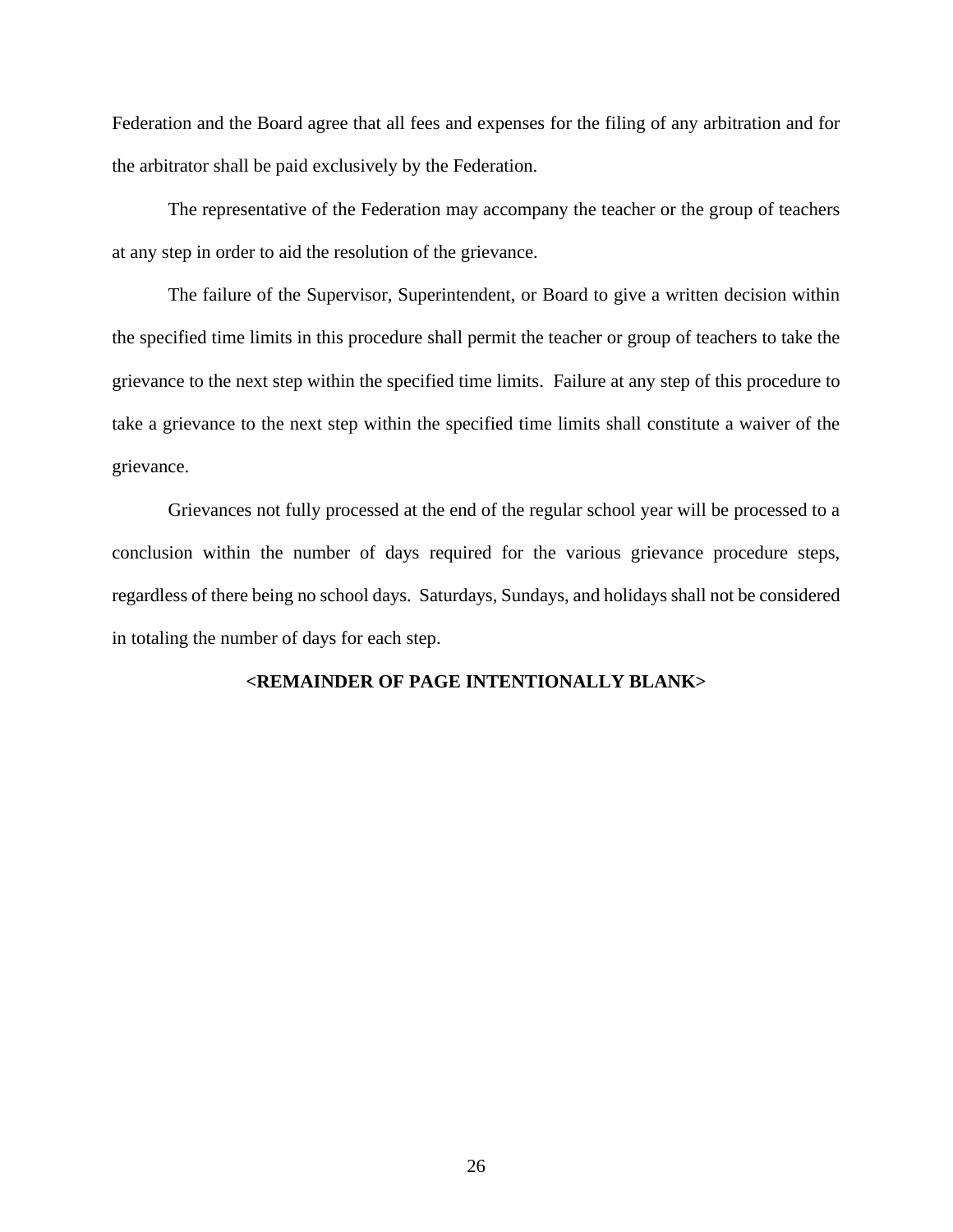Federation and the Board agree that all fees and expenses for the filing of any arbitration and for the arbitrator shall be paid exclusively by the Federation.

The representative of the Federation may accompany the teacher or the group of teachers at any step in order to aid the resolution of the grievance.

The failure of the Supervisor, Superintendent, or Board to give a written decision within the specified time limits in this procedure shall permit the teacher or group of teachers to take the grievance to the next step within the specified time limits. Failure at any step of this procedure to take a grievance to the next step within the specified time limits shall constitute a waiver of the grievance.

Grievances not fully processed at the end of the regular school year will be processed to a conclusion within the number of days required for the various grievance procedure steps, regardless of there being no school days. Saturdays, Sundays, and holidays shall not be considered in totaling the number of days for each step.

#### **<REMAINDER OF PAGE INTENTIONALLY BLANK>**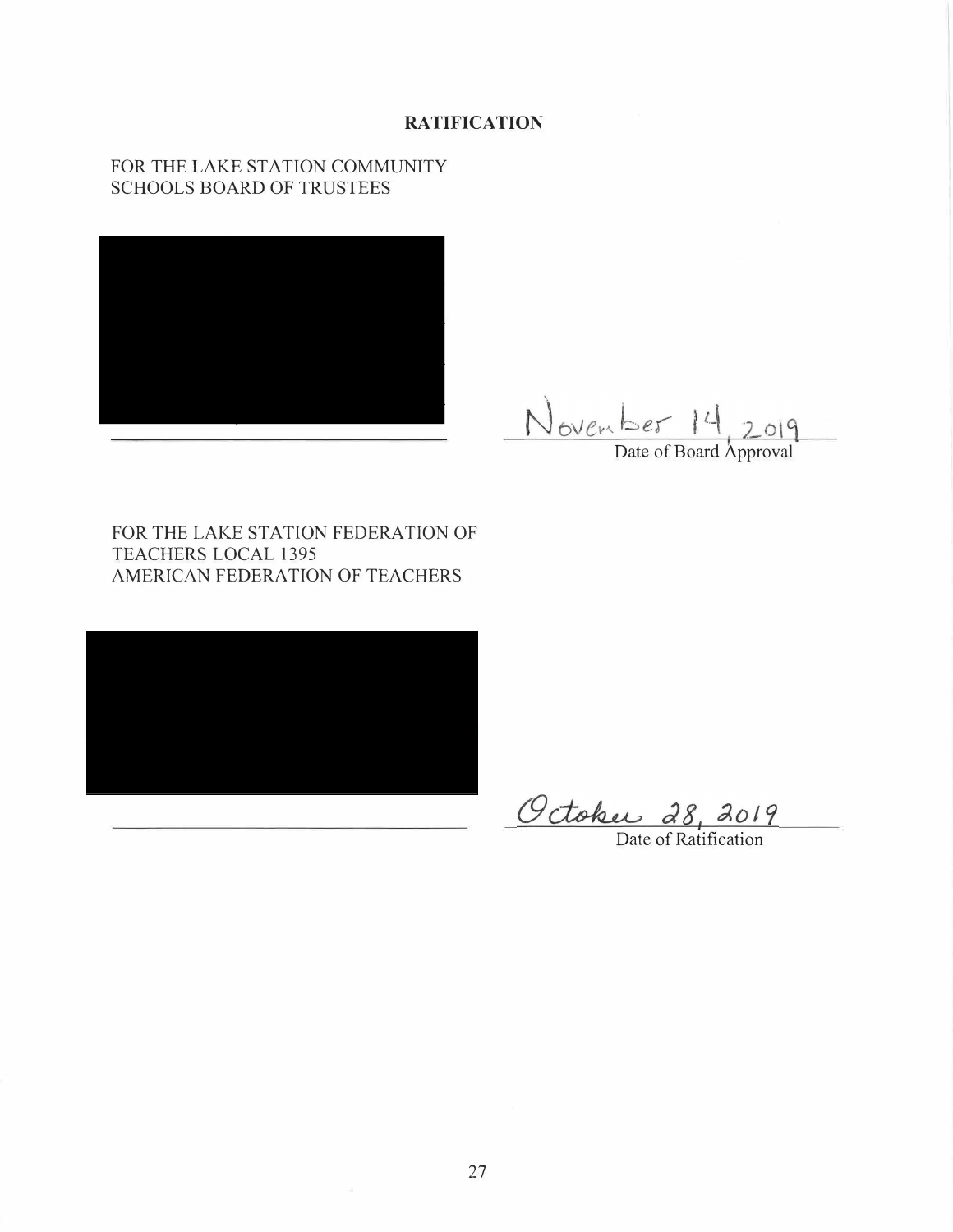## **RATIFICATION**

## FOR THE LAKE STATION COMMUNITY SCHOOLS BOARD OF TRUSTEES



November 14 2019

FOR THE LAKE STATION FEDERATION OF TEACHERS LOCAL 1395 AMERICAN FEDERATION OF TEACHERS



Octobus 28, 2019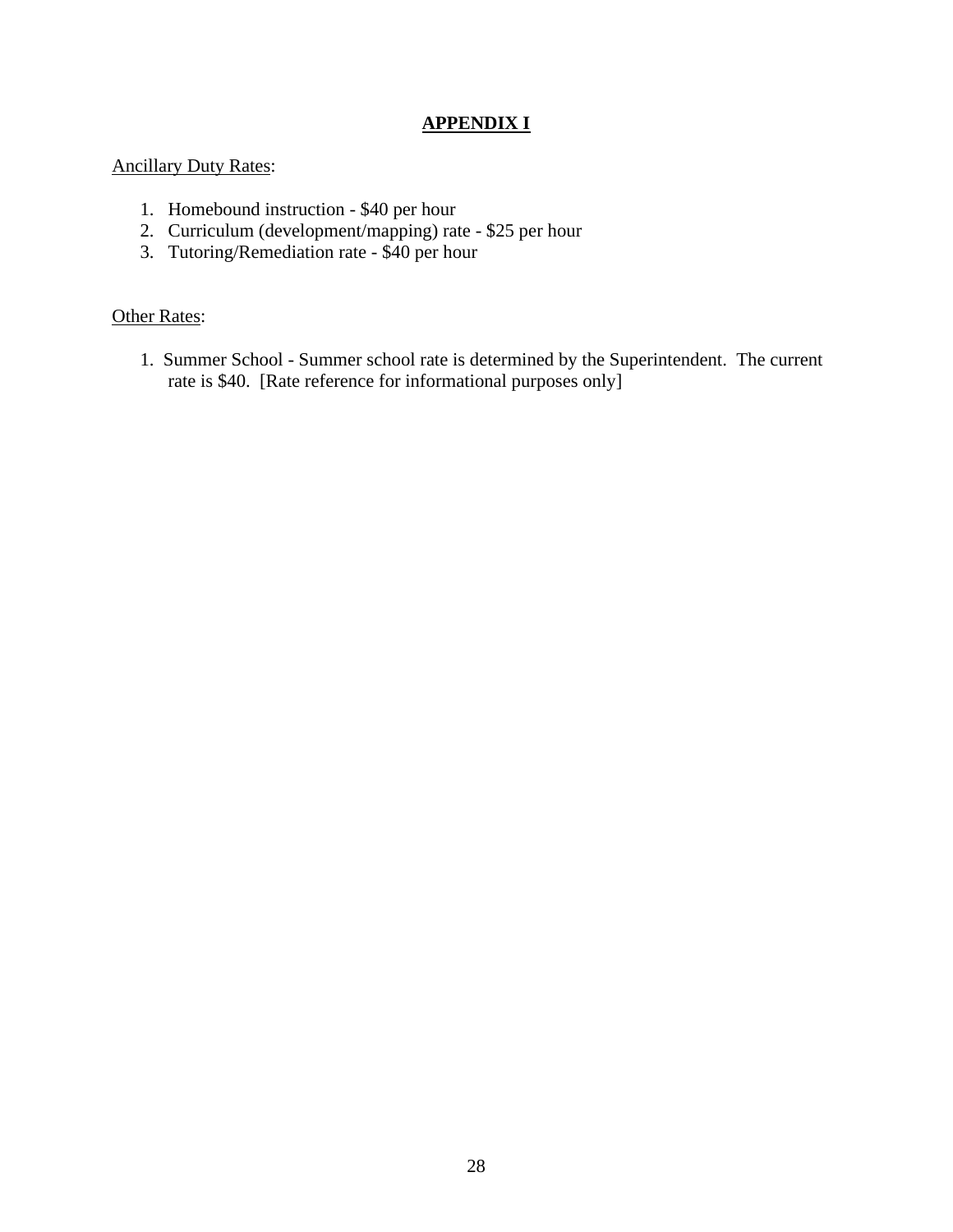# **APPENDIX I**

# Ancillary Duty Rates:

- 1. Homebound instruction \$40 per hour
- 2. Curriculum (development/mapping) rate \$25 per hour
- 3. Tutoring/Remediation rate \$40 per hour

# **Other Rates:**

1. Summer School - Summer school rate is determined by the Superintendent. The current rate is \$40. [Rate reference for informational purposes only]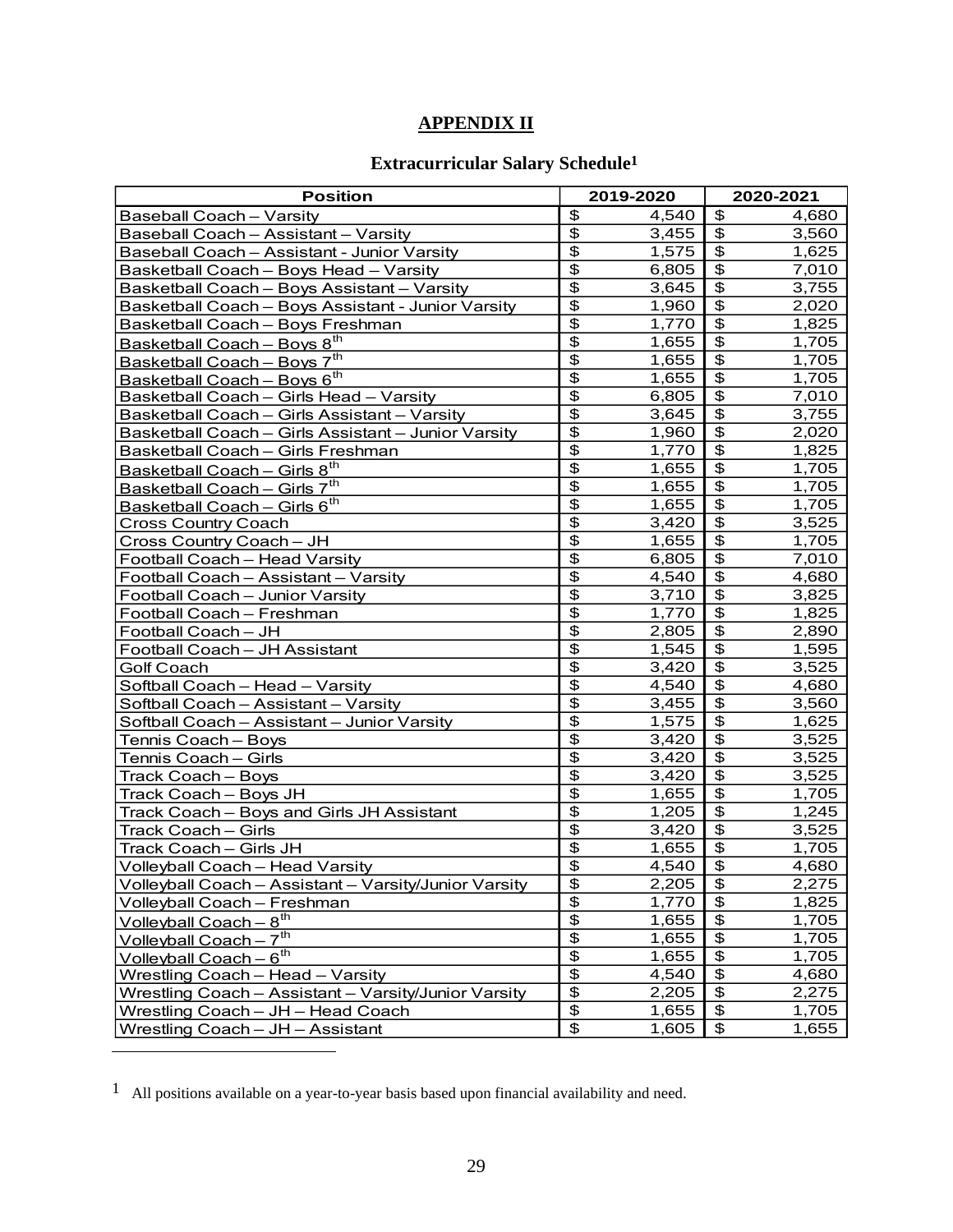# **APPENDIX II**

# **Extracurricular Salary Schedule1**

| <b>Position</b>                                       |                                  | 2019-2020 |                                        | 2020-2021 |  |
|-------------------------------------------------------|----------------------------------|-----------|----------------------------------------|-----------|--|
| <b>Baseball Coach - Varsity</b>                       | \$                               | 4,540     | \$                                     | 4,680     |  |
| Baseball Coach - Assistant - Varsity                  | $\overline{\mathbf{3}}$          | 3,455     | \$                                     | 3,560     |  |
| Baseball Coach - Assistant - Junior Varsity           | $\overline{\$}$                  | 1,575     | $\overline{\boldsymbol{\theta}}$       | 1,625     |  |
| Basketball Coach - Boys Head - Varsity                | $\overline{\$}$                  | 6,805     | $\overline{\$}$                        | 7,010     |  |
| Basketball Coach - Boys Assistant - Varsity           | $\overline{\$}$                  | 3,645     | $\overline{\$}$                        | 3,755     |  |
| Basketball Coach - Boys Assistant - Junior Varsity    | $\overline{\mathfrak{s}}$        | 1,960     | $\overline{\$}$                        | 2,020     |  |
| Basketball Coach - Boys Freshman                      | $\overline{\mathbf{e}}$          | 1,770     | $\overline{\mathfrak{s}}$              | 1,825     |  |
| Basketball Coach - Boys 8 <sup>th</sup>               | $\overline{\boldsymbol{\theta}}$ | 1,655     | $\overline{\mathbf{e}}$                | 1,705     |  |
| Basketball Coach - Boys 7 <sup>th</sup>               | $\overline{\mathbf{3}}$          | 1,655     | \$                                     | 1,705     |  |
| Basketball Coach - Boys 6 <sup>th</sup>               | $\overline{\mathbf{3}}$          | 1,655     | $\overline{\boldsymbol{\theta}}$       | 1,705     |  |
| Basketball Coach - Girls Head - Varsity               | $\overline{\mathbf{3}}$          | 6,805     | $\overline{\boldsymbol{\theta}}$       | 7,010     |  |
| Basketball Coach - Girls Assistant - Varsity          | $\overline{\mathcal{E}}$         | 3,645     | $\overline{\mathcal{L}}$               | 3,755     |  |
| Basketball Coach - Girls Assistant - Junior Varsity   | $\overline{\mathcal{E}}$         | 1,960     | $\overline{\mathfrak{s}}$              | 2,020     |  |
| Basketball Coach - Girls Freshman                     | $\overline{\mathcal{E}}$         | 1,770     | $\overline{\$}$                        | 1,825     |  |
| Basketball Coach - Girls 8 <sup>th</sup>              | $\overline{\mathbf{e}}$          | 1,655     | $\overline{\boldsymbol{\mathfrak{s}}}$ | 1,705     |  |
| Basketball Coach - Girls 7 <sup>th</sup>              | $\overline{\mathcal{E}}$         | 1,655     | $\overline{\$}$                        | 1,705     |  |
| Basketball Coach - Girls 6 <sup>th</sup>              | $\overline{\mathfrak{s}}$        | 1,655     | $\overline{\mathfrak{s}}$              | 1,705     |  |
| <b>Cross Country Coach</b>                            | $\overline{\mathfrak{s}}$        | 3,420     | $\overline{\$}$                        | 3,525     |  |
| Cross Country Coach - JH                              | $\overline{\$}$                  | 1,655     | $\overline{\$}$                        | 1,705     |  |
| Football Coach - Head Varsity                         | $\overline{\$}$                  | 6,805     | $\overline{\$}$                        | 7,010     |  |
| Football Coach - Assistant - Varsity                  | $\overline{\mathfrak{s}}$        | 4,540     | $\overline{\$}$                        | 4,680     |  |
| Football Coach - Junior Varsity                       | $\overline{\$}$                  | 3,710     | $\overline{\theta}$                    | 3,825     |  |
| Football Coach - Freshman                             | $\overline{\mathbf{e}}$          | 1,770     | $\overline{\boldsymbol{\theta}}$       | 1,825     |  |
| Football Coach - JH                                   | $\overline{\boldsymbol{\theta}}$ | 2,805     | \$                                     | 2,890     |  |
| Football Coach - JH Assistant                         | $\overline{\mathbf{3}}$          | 1,545     | \$                                     | 1,595     |  |
| <b>Golf Coach</b>                                     | $\overline{\boldsymbol{\theta}}$ | 3,420     | \$                                     | 3,525     |  |
| Softball Coach - Head - Varsity                       | $\overline{\mathbf{3}}$          | 4,540     | \$                                     | 4,680     |  |
| Softball Coach - Assistant - Varsity                  | $\overline{\boldsymbol{\theta}}$ | 3,455     | \$                                     | 3,560     |  |
| Softball Coach - Assistant - Junior Varsity           | $\overline{\boldsymbol{\theta}}$ | 1,575     | $\overline{\mathbf{e}}$                | 1,625     |  |
| Tennis Coach - Boys                                   | \$                               | 3,420     | $\overline{\mathbf{e}}$                | 3,525     |  |
| Tennis Coach - Girls                                  | $\overline{\boldsymbol{\theta}}$ | 3,420     | \$                                     | 3,525     |  |
| Track Coach - Boys                                    | $\overline{\boldsymbol{\theta}}$ | 3,420     | \$                                     | 3,525     |  |
| Track Coach - Boys JH                                 | $\overline{\$}$                  | 1,655     | \$                                     | 1,705     |  |
| Track Coach - Boys and Girls JH Assistant             | $\overline{\$}$                  | 1,205     | $\overline{\boldsymbol{\theta}}$       | 1,245     |  |
| Track Coach - Girls                                   | $\overline{\mathfrak{s}}$        | 3,420     | $\overline{\$}$                        | 3,525     |  |
| Track Coach - Girls JH                                | $\overline{\boldsymbol{\theta}}$ | 1,655     | $\overline{\mathbf{e}}$                | 1,705     |  |
| Volleyball Coach - Head Varsity                       | \$                               | 4,540     | $\overline{\$}$                        | 4,680     |  |
| Volleyball Coach - Assistant - Varsity/Junior Varsity | $\overline{\mathcal{E}}$         | 2,205     | $\overline{\mathcal{E}}$               | 2,275     |  |
| Volleyball Coach - Freshman                           | $\overline{\mathbf{e}}$          | 1,770     | \$                                     | 1,825     |  |
| <u>Volleyball Coach</u> - $8^{th}$                    | \$                               | 1,655     | \$                                     | 1,705     |  |
| Volleyball Coach - 7 <sup>th</sup>                    | $\overline{\mathcal{E}}$         | 1,655     | \$                                     | 1,705     |  |
| Volleyball Coach - 6 <sup>th</sup>                    | $\overline{\mathbf{e}}$          | 1,655     | \$                                     | 1,705     |  |
| Wrestling Coach - Head - Varsity                      | $\overline{\mathcal{E}}$         | 4,540     | \$                                     | 4,680     |  |
| Wrestling Coach - Assistant - Varsity/Junior Varsity  | $\overline{\mathbf{e}}$          | 2,205     | \$                                     | 2,275     |  |
| Wrestling Coach - JH - Head Coach                     | \$                               | 1,655     | \$                                     | 1,705     |  |
| Wrestling Coach - JH - Assistant                      | \$                               | 1,605     | \$                                     | 1,655     |  |

<sup>1</sup> All positions available on a year-to-year basis based upon financial availability and need.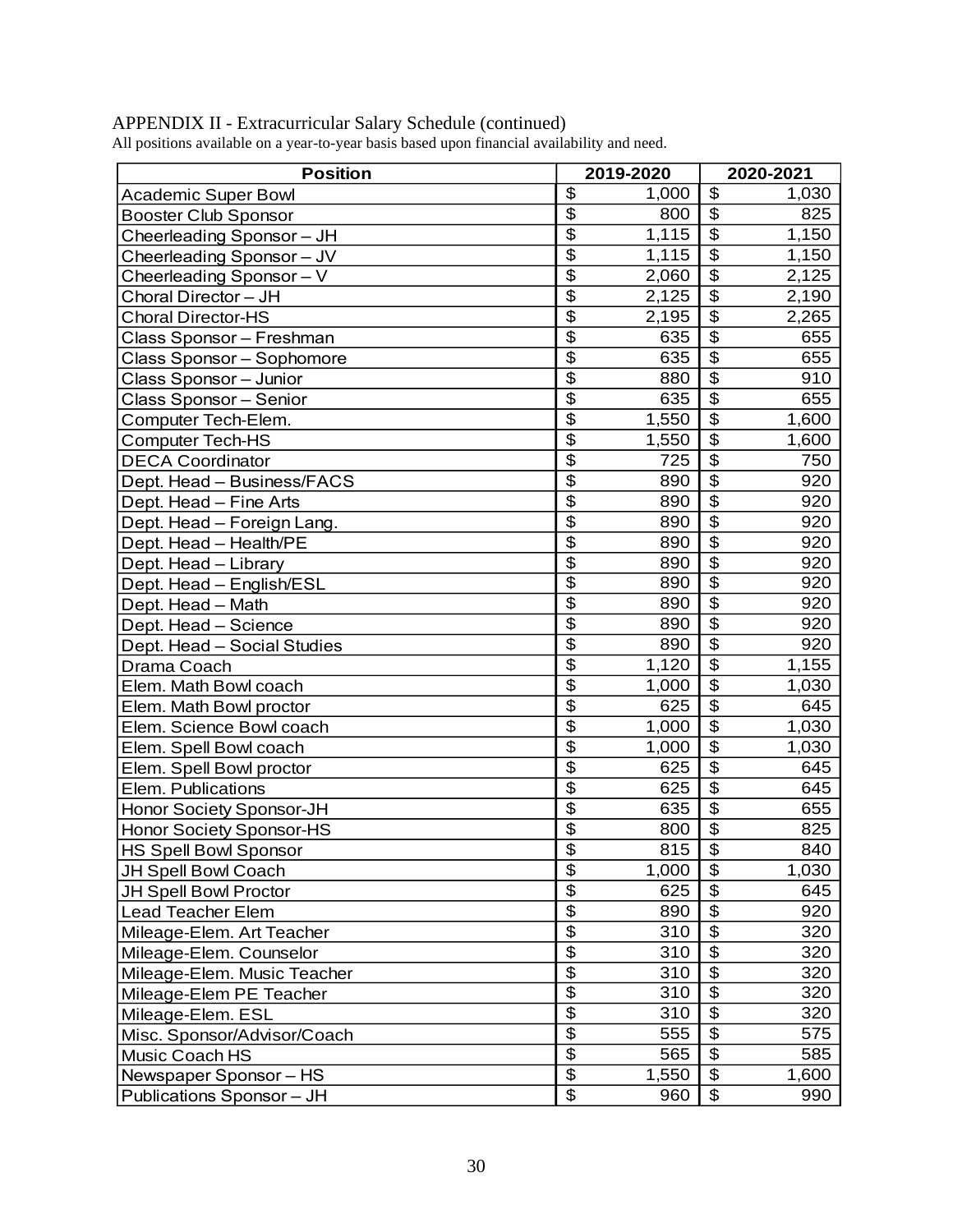| <b>Position</b>              |                                  | 2019-2020 |                           | 2020-2021 |  |
|------------------------------|----------------------------------|-----------|---------------------------|-----------|--|
| <b>Academic Super Bowl</b>   | \$                               | 1,000     | \$                        | 1,030     |  |
| <b>Booster Club Sponsor</b>  | $\overline{\$}$                  | 800       | $\overline{\mathbf{S}}$   | 825       |  |
| Cheerleading Sponsor - JH    | $\overline{\mathbb{S}}$          | 1,115     | $\overline{\mathfrak{s}}$ | 1,150     |  |
| Cheerleading Sponsor - JV    | $\overline{\mathfrak{s}}$        | 1,115     | $\overline{\mathfrak{s}}$ | 1,150     |  |
| Cheerleading Sponsor - V     | $\overline{\mathcal{L}}$         | 2,060     | $\overline{\mathfrak{s}}$ | 2,125     |  |
| Choral Director - JH         | $\overline{\$}$                  | 2,125     | $\overline{\$}$           | 2,190     |  |
| <b>Choral Director-HS</b>    | $\overline{\$}$                  | 2,195     | $\overline{\$}$           | 2,265     |  |
| Class Sponsor - Freshman     | $\overline{\mathfrak{s}}$        | 635       | $\overline{\$}$           | 655       |  |
| Class Sponsor - Sophomore    | $\overline{\$}$                  | 635       | $\overline{\mathfrak{s}}$ | 655       |  |
| Class Sponsor - Junior       | $\overline{\mathfrak{s}}$        | 880       | \$                        | 910       |  |
| Class Sponsor - Senior       | $\overline{\$}$                  | 635       | $\overline{\$}$           | 655       |  |
| Computer Tech-Elem.          | $\overline{\$}$                  | 1,550     | \$                        | 1,600     |  |
| <b>Computer Tech-HS</b>      | $\overline{\$}$                  | 1,550     | $\overline{\$}$           | 1,600     |  |
| <b>DECA Coordinator</b>      | $\overline{\$}$                  | 725       | $\overline{\mathfrak{s}}$ | 750       |  |
| Dept. Head - Business/FACS   | $\overline{\mathfrak{s}}$        | 890       | $\overline{\mathfrak{s}}$ | 920       |  |
| Dept. Head - Fine Arts       | $\overline{\$}$                  | 890       | $\overline{\$}$           | 920       |  |
| Dept. Head - Foreign Lang.   | \$                               | 890       | $\overline{\mathfrak{s}}$ | 920       |  |
| Dept. Head - Health/PE       | $\overline{\$}$                  | 890       | $\overline{\$}$           | 920       |  |
| Dept. Head - Library         | $\overline{\mathfrak{s}}$        | 890       | $\overline{\mathfrak{s}}$ | 920       |  |
| Dept. Head - English/ESL     | $\overline{\mathcal{S}}$         | 890       | $\overline{\mathcal{L}}$  | 920       |  |
| Dept. Head - Math            | $\overline{\$}$                  | 890       | $\overline{\mathfrak{s}}$ | 920       |  |
| Dept. Head - Science         | $\overline{\mathbb{S}}$          | 890       | $\overline{\mathfrak{s}}$ | 920       |  |
| Dept. Head - Social Studies  | $\overline{\$}$                  | 890       | $\overline{\$}$           | 920       |  |
| Drama Coach                  | $\overline{\mathfrak{s}}$        | 1,120     | $\overline{\mathfrak{s}}$ | 1,155     |  |
| Elem. Math Bowl coach        | $\overline{\$}$                  | 1,000     | $\overline{\$}$           | 1,030     |  |
| Elem. Math Bowl proctor      | $\overline{\mathbb{S}}$          | 625       | $\overline{\mathfrak{s}}$ | 645       |  |
| Elem. Science Bowl coach     | $\overline{\$}$                  | 1,000     | $\overline{\mathcal{S}}$  | 1,030     |  |
| Elem. Spell Bowl coach       | $\overline{\mathfrak{s}}$        | 1,000     | $\overline{\$}$           | 1,030     |  |
| Elem. Spell Bowl proctor     | $\overline{\$}$                  | 625       | $\overline{\mathfrak{s}}$ | 645       |  |
| Elem. Publications           | $\overline{\$}$                  | 625       | $\overline{\mathcal{S}}$  | 645       |  |
| Honor Society Sponsor-JH     | $\overline{\mathbb{S}}$          | 635       | $\overline{\mathfrak{s}}$ | 655       |  |
| Honor Society Sponsor-HS     | $\overline{\mathfrak{s}}$        | 800       | $\overline{\mathfrak{s}}$ | 825       |  |
| <b>HS Spell Bowl Sponsor</b> | $\overline{\$}$                  | 815       | $\overline{\mathfrak{s}}$ | 840       |  |
| JH Spell Bowl Coach          | \$                               | 1,000     | \$                        | 1,030     |  |
| JH Spell Bowl Proctor        | \$                               | 625       | \$                        | 645       |  |
| Lead Teacher Elem            | $\overline{\mathcal{L}}$         | 890       | \$                        | 920       |  |
| Mileage-Elem. Art Teacher    | $\overline{\mathfrak{s}}$        | 310       | $\overline{\mathfrak{s}}$ | 320       |  |
| Mileage-Elem. Counselor      | $\overline{\boldsymbol{\theta}}$ | 310       | $\overline{\mathfrak{s}}$ | 320       |  |
| Mileage-Elem. Music Teacher  | $\overline{\mathcal{L}}$         | 310       | $\overline{\$}$           | 320       |  |
| Mileage-Elem PE Teacher      | \$                               | 310       | \$                        | 320       |  |
| Mileage-Elem. ESL            | $\overline{\$}$                  | 310       | $\overline{\$}$           | 320       |  |
| Misc. Sponsor/Advisor/Coach  | $\overline{\mathfrak{s}}$        | 555       | \$                        | 575       |  |
| Music Coach HS               | $\overline{\mathcal{L}}$         | 565       | $\overline{\mathcal{S}}$  | 585       |  |
| Newspaper Sponsor - HS       | $\overline{\mathcal{L}}$         | 1,550     | $\overline{\mathfrak{s}}$ | 1,600     |  |
| Publications Sponsor - JH    | $\overline{\mathcal{L}}$         | 960       | \$                        | 990       |  |

## APPENDIX II - Extracurricular Salary Schedule (continued)

All positions available on a year-to-year basis based upon financial availability and need.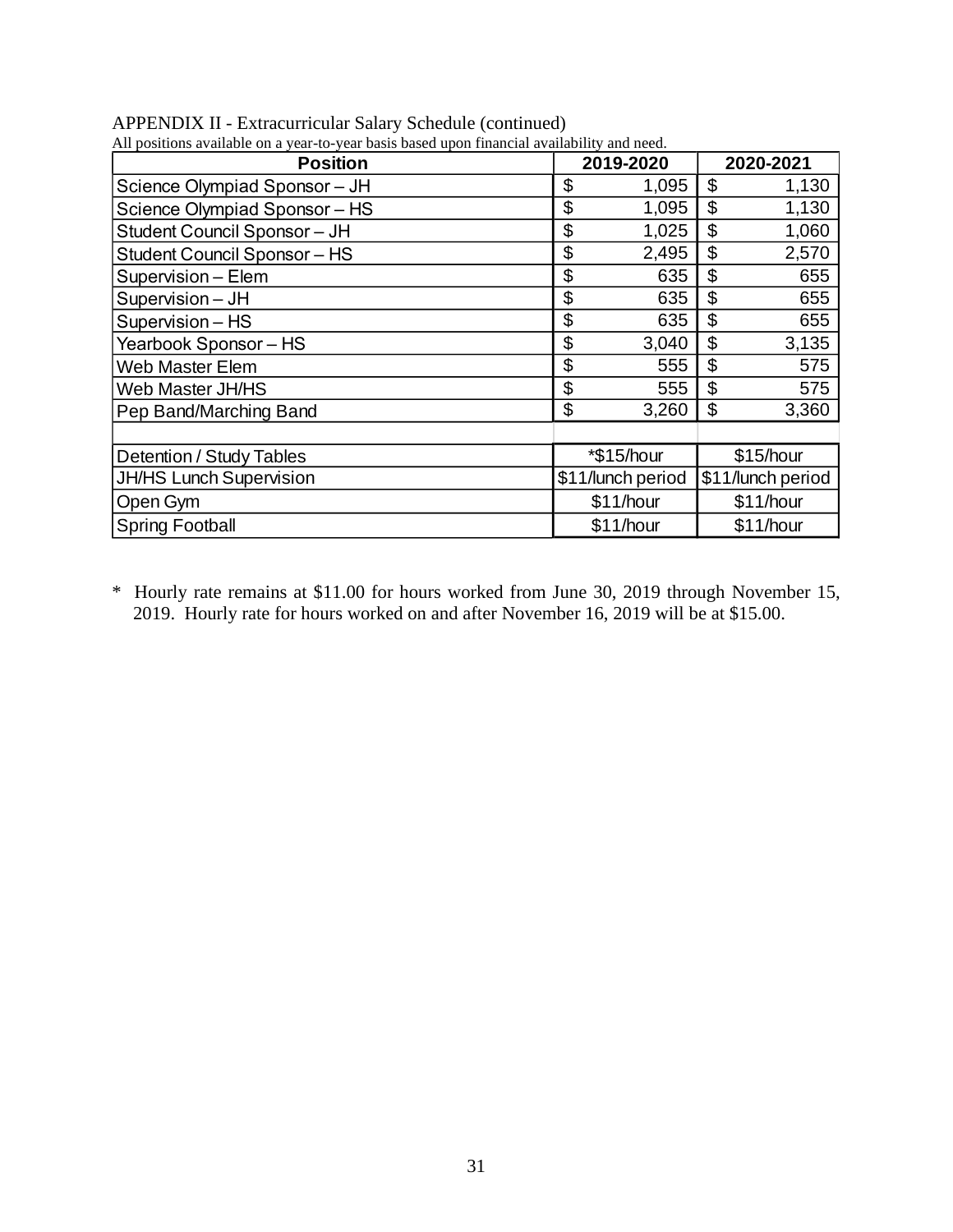| All positions available on a year-to-year basis based upon financial availability and need. |                   |                   |
|---------------------------------------------------------------------------------------------|-------------------|-------------------|
| <b>Position</b>                                                                             | 2019-2020         | 2020-2021         |
| Science Olympiad Sponsor - JH                                                               | \$<br>1,095       | \$<br>1,130       |
| Science Olympiad Sponsor - HS                                                               | \$<br>1,095       | \$<br>1,130       |
| Student Council Sponsor - JH                                                                | \$<br>1,025       | \$<br>1,060       |
| <b>Student Council Sponsor - HS</b>                                                         | \$<br>2,495       | \$<br>2,570       |
| Supervision - Elem                                                                          | \$<br>635         | \$<br>655         |
| Supervision - JH                                                                            | \$<br>635         | \$<br>655         |
| Supervision - HS                                                                            | \$<br>635         | \$<br>655         |
| Yearbook Sponsor - HS                                                                       | \$<br>3,040       | \$<br>3,135       |
| <b>Web Master Elem</b>                                                                      | \$<br>555         | \$<br>575         |
| Web Master JH/HS                                                                            | \$<br>555         | \$<br>575         |
| Pep Band/Marching Band                                                                      | \$<br>3,260       | \$<br>3,360       |
|                                                                                             |                   |                   |
| Detention / Study Tables                                                                    | *\$15/hour        | \$15/hour         |
| <b>JH/HS Lunch Supervision</b>                                                              | \$11/lunch period | \$11/lunch period |
| Open Gym                                                                                    | \$11/hour         | \$11/hour         |
| <b>Spring Football</b>                                                                      | \$11/hour         | \$11/hour         |

APPENDIX II - Extracurricular Salary Schedule (continued)

\* Hourly rate remains at \$11.00 for hours worked from June 30, 2019 through November 15, 2019. Hourly rate for hours worked on and after November 16, 2019 will be at \$15.00.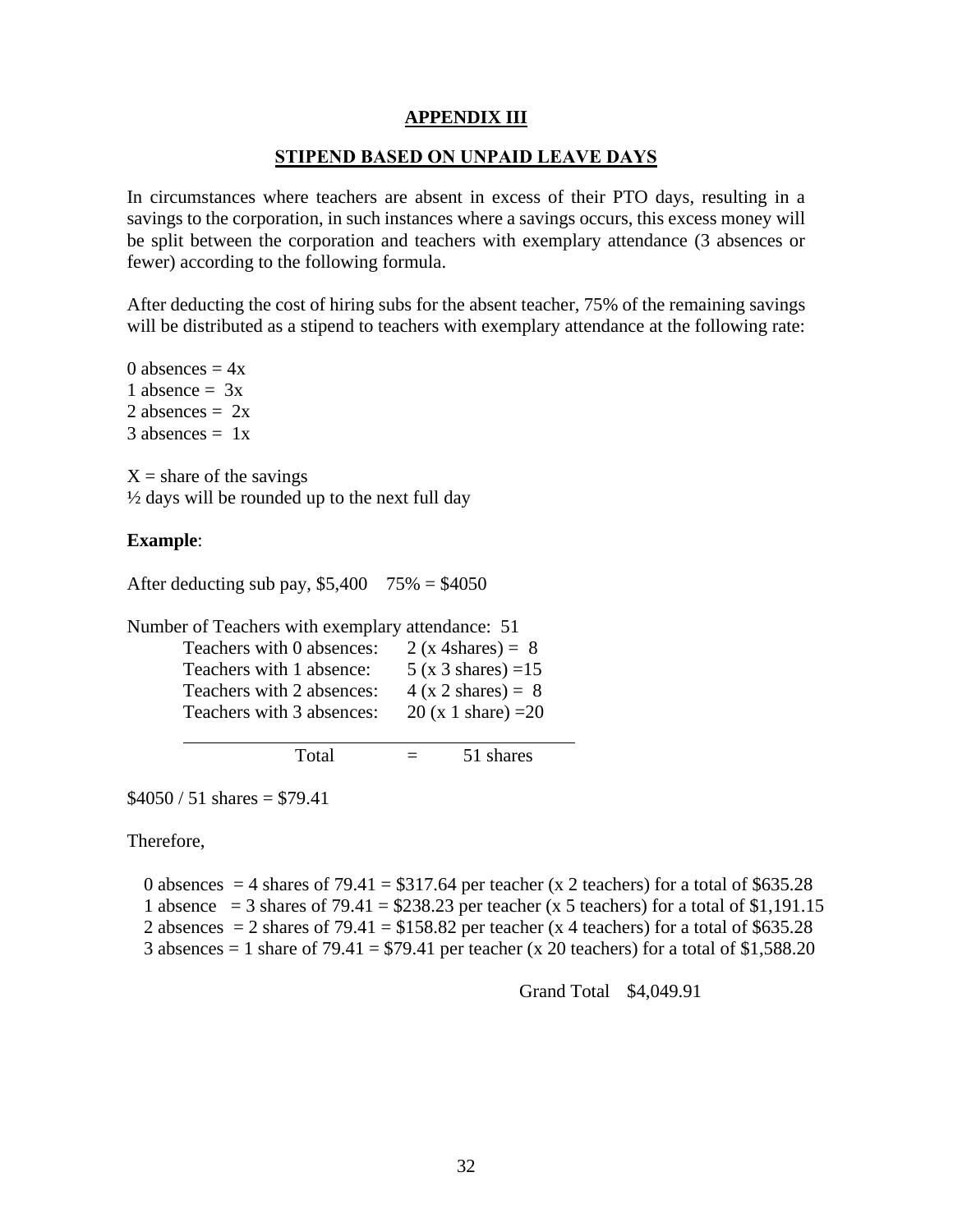## **APPENDIX III**

## **STIPEND BASED ON UNPAID LEAVE DAYS**

<span id="page-34-0"></span>In circumstances where teachers are absent in excess of their PTO days, resulting in a savings to the corporation, in such instances where a savings occurs, this excess money will be split between the corporation and teachers with exemplary attendance (3 absences or fewer) according to the following formula.

After deducting the cost of hiring subs for the absent teacher, 75% of the remaining savings will be distributed as a stipend to teachers with exemplary attendance at the following rate:

0 absences  $= 4x$ 1 absence  $= 3x$ 2 absences  $= 2x$  $3$  absences  $= 1x$ 

 $X =$ share of the savings ½ days will be rounded up to the next full day

#### **Example**:

After deducting sub pay,  $$5,400$  75% = \$4050

Number of Teachers with exemplary attendance: 51

| Teachers with 0 absences: | 2 (x 4shares) = $8$   |
|---------------------------|-----------------------|
| Teachers with 1 absence:  | $5(x 3 shares) = 15$  |
| Teachers with 2 absences: | $4(x 2 shares) = 8$   |
| Teachers with 3 absences: | 20 (x 1 share) = $20$ |
|                           |                       |

Total  $=$  51 shares

 $$4050 / 51 \text{ shares} = $79.41$ 

Therefore,

0 absences  $= 4$  shares of 79.41  $= $317.64$  per teacher (x 2 teachers) for a total of \$635.28

1 absence  $=$  3 shares of 79.41  $=$  \$238.23 per teacher (x 5 teachers) for a total of \$1,191.15

2 absences  $= 2$  shares of 79.41  $= $158.82$  per teacher (x 4 teachers) for a total of \$635.28

3 absences = 1 share of  $79.41 = $79.41$  per teacher (x 20 teachers) for a total of \$1,588.20

Grand Total \$4,049.91